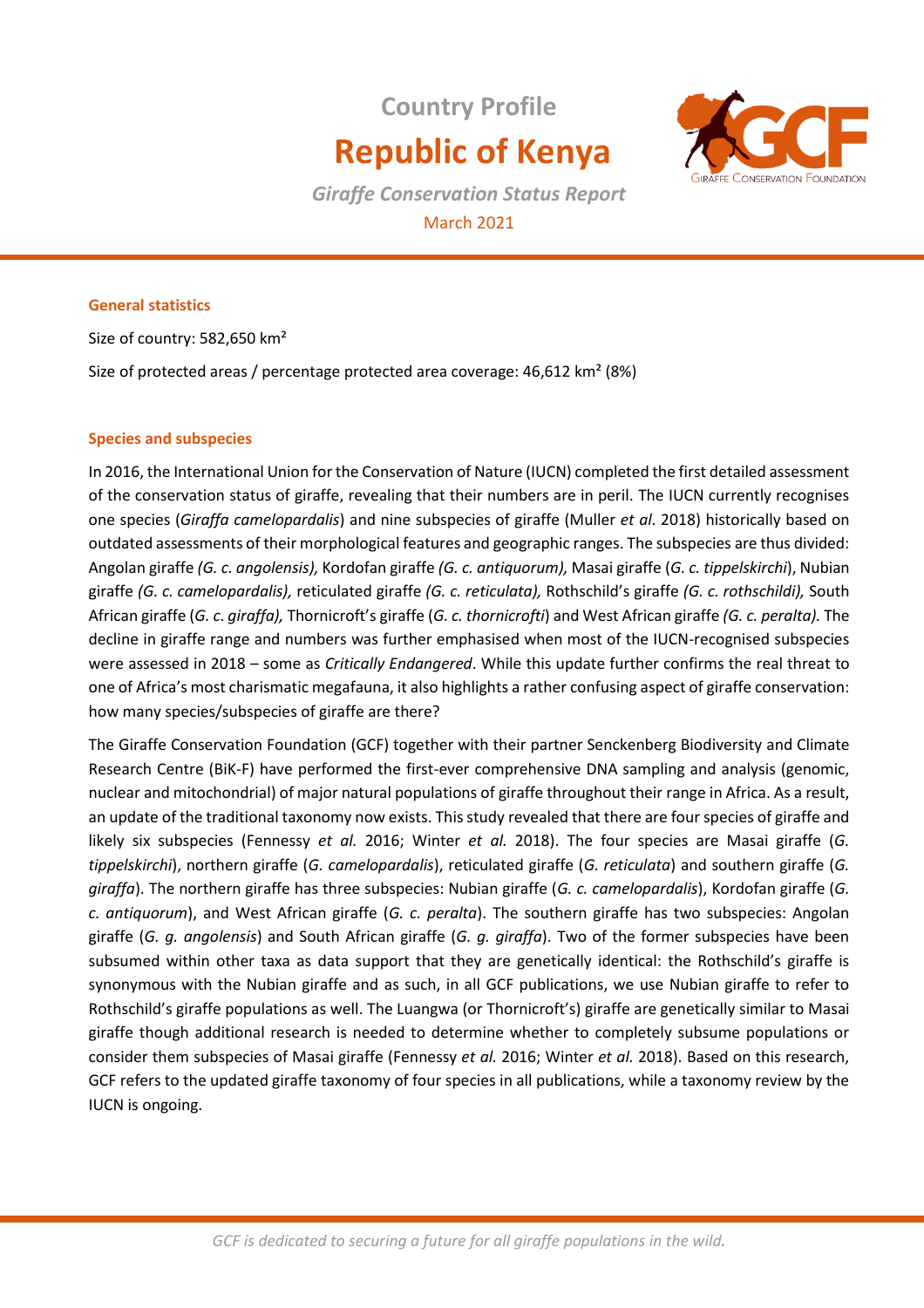# **Country Profile Republic of Kenya**



*Giraffe Conservation Status Report* March 2021

## **General statistics**

Size of country: 582,650 km²

Size of protected areas / percentage protected area coverage: 46,612 km² (8%)

# **Species and subspecies**

In 2016, the International Union for the Conservation of Nature (IUCN) completed the first detailed assessment of the conservation status of giraffe, revealing that their numbers are in peril. The IUCN currently recognises one species (*Giraffa camelopardalis*) and nine subspecies of giraffe (Muller *et al*. 2018) historically based on outdated assessments of their morphological features and geographic ranges. The subspecies are thus divided: Angolan giraffe *(G. c. angolensis),* Kordofan giraffe *(G. c. antiquorum),* Masai giraffe (*G. c. tippelskirchi*), Nubian giraffe *(G. c. camelopardalis),* reticulated giraffe *(G. c. reticulata),* Rothschild's giraffe *(G. c. rothschildi),* South African giraffe (*G. c*. *giraffa),* Thornicroft's giraffe (*G. c. thornicrofti*) and West African giraffe *(G. c. peralta).* The decline in giraffe range and numbers was further emphasised when most of the IUCN-recognised subspecies were assessed in 2018 – some as *Critically Endangered*. While this update further confirms the real threat to one of Africa's most charismatic megafauna, it also highlights a rather confusing aspect of giraffe conservation: how many species/subspecies of giraffe are there?

The Giraffe Conservation Foundation (GCF) together with their partner Senckenberg Biodiversity and Climate Research Centre (BiK-F) have performed the first-ever comprehensive DNA sampling and analysis (genomic, nuclear and mitochondrial) of major natural populations of giraffe throughout their range in Africa. As a result, an update of the traditional taxonomy now exists. This study revealed that there are four species of giraffe and likely six subspecies (Fennessy *et al.* 2016; Winter *et al.* 2018). The four species are Masai giraffe (*G. tippelskirchi*), northern giraffe (*G. camelopardalis*), reticulated giraffe (*G. reticulata*) and southern giraffe (*G. giraffa*). The northern giraffe has three subspecies: Nubian giraffe (*G. c. camelopardalis*), Kordofan giraffe (*G. c. antiquorum*), and West African giraffe (*G. c. peralta*). The southern giraffe has two subspecies: Angolan giraffe (*G. g. angolensis*) and South African giraffe (*G. g. giraffa*). Two of the former subspecies have been subsumed within other taxa as data support that they are genetically identical: the Rothschild's giraffe is synonymous with the Nubian giraffe and as such, in all GCF publications, we use Nubian giraffe to refer to Rothschild's giraffe populations as well. The Luangwa (or Thornicroft's) giraffe are genetically similar to Masai giraffe though additional research is needed to determine whether to completely subsume populations or consider them subspecies of Masai giraffe (Fennessy *et al.* 2016; Winter *et al.* 2018). Based on this research, GCF refers to the updated giraffe taxonomy of four species in all publications, while a taxonomy review by the IUCN is ongoing.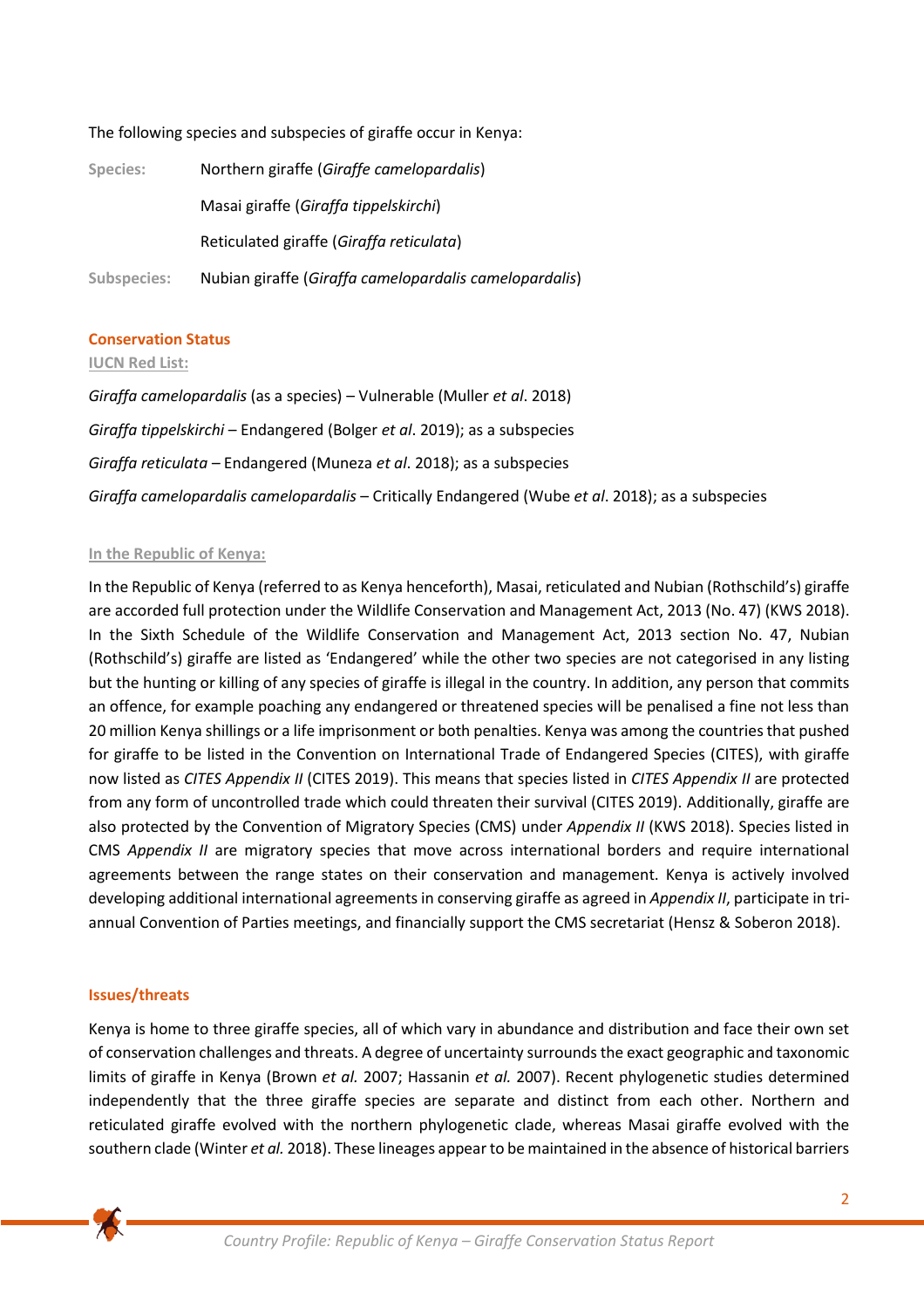# The following species and subspecies of giraffe occur in Kenya:

| Species:    | Northern giraffe (Giraffe camelopardalis)              |
|-------------|--------------------------------------------------------|
|             | Masai giraffe (Giraffa tippelskirchi)                  |
|             | Reticulated giraffe (Giraffa reticulata)               |
| Subspecies: | Nubian giraffe (Giraffa camelopardalis camelopardalis) |

### **Conservation Status**

#### **IUCN Red List:**

*Giraffa camelopardalis* (as a species) – Vulnerable (Muller *et al*. 2018) *Giraffa tippelskirchi* – Endangered (Bolger *et al*. 2019); as a subspecies *Giraffa reticulata –* Endangered (Muneza *et al*. 2018); as a subspecies *Giraffa camelopardalis camelopardalis* – Critically Endangered (Wube *et al*. 2018); as a subspecies

### **In the Republic of Kenya:**

In the Republic of Kenya (referred to as Kenya henceforth), Masai, reticulated and Nubian (Rothschild's) giraffe are accorded full protection under the Wildlife Conservation and Management Act, 2013 (No. 47) (KWS 2018). In the Sixth Schedule of the Wildlife Conservation and Management Act, 2013 section No. 47, Nubian (Rothschild's) giraffe are listed as 'Endangered' while the other two species are not categorised in any listing but the hunting or killing of any species of giraffe is illegal in the country. In addition, any person that commits an offence, for example poaching any endangered or threatened species will be penalised a fine not less than 20 million Kenya shillings or a life imprisonment or both penalties. Kenya was among the countries that pushed for giraffe to be listed in the Convention on International Trade of Endangered Species (CITES), with giraffe now listed as *CITES Appendix II* (CITES 2019). This means that species listed in *CITES Appendix II* are protected from any form of uncontrolled trade which could threaten their survival (CITES 2019). Additionally, giraffe are also protected by the Convention of Migratory Species (CMS) under *Appendix II* (KWS 2018). Species listed in CMS *Appendix II* are migratory species that move across international borders and require international agreements between the range states on their conservation and management. Kenya is actively involved developing additional international agreements in conserving giraffe as agreed in *Appendix II*, participate in triannual Convention of Parties meetings, and financially support the CMS secretariat (Hensz & Soberon 2018).

### **Issues/threats**

Kenya is home to three giraffe species, all of which vary in abundance and distribution and face their own set of conservation challenges and threats. A degree of uncertainty surrounds the exact geographic and taxonomic limits of giraffe in Kenya (Brown *et al.* 2007; Hassanin *et al.* 2007). Recent phylogenetic studies determined independently that the three giraffe species are separate and distinct from each other. Northern and reticulated giraffe evolved with the northern phylogenetic clade, whereas Masai giraffe evolved with the southern clade (Winter *et al.* 2018). These lineages appear to be maintained in the absence of historical barriers

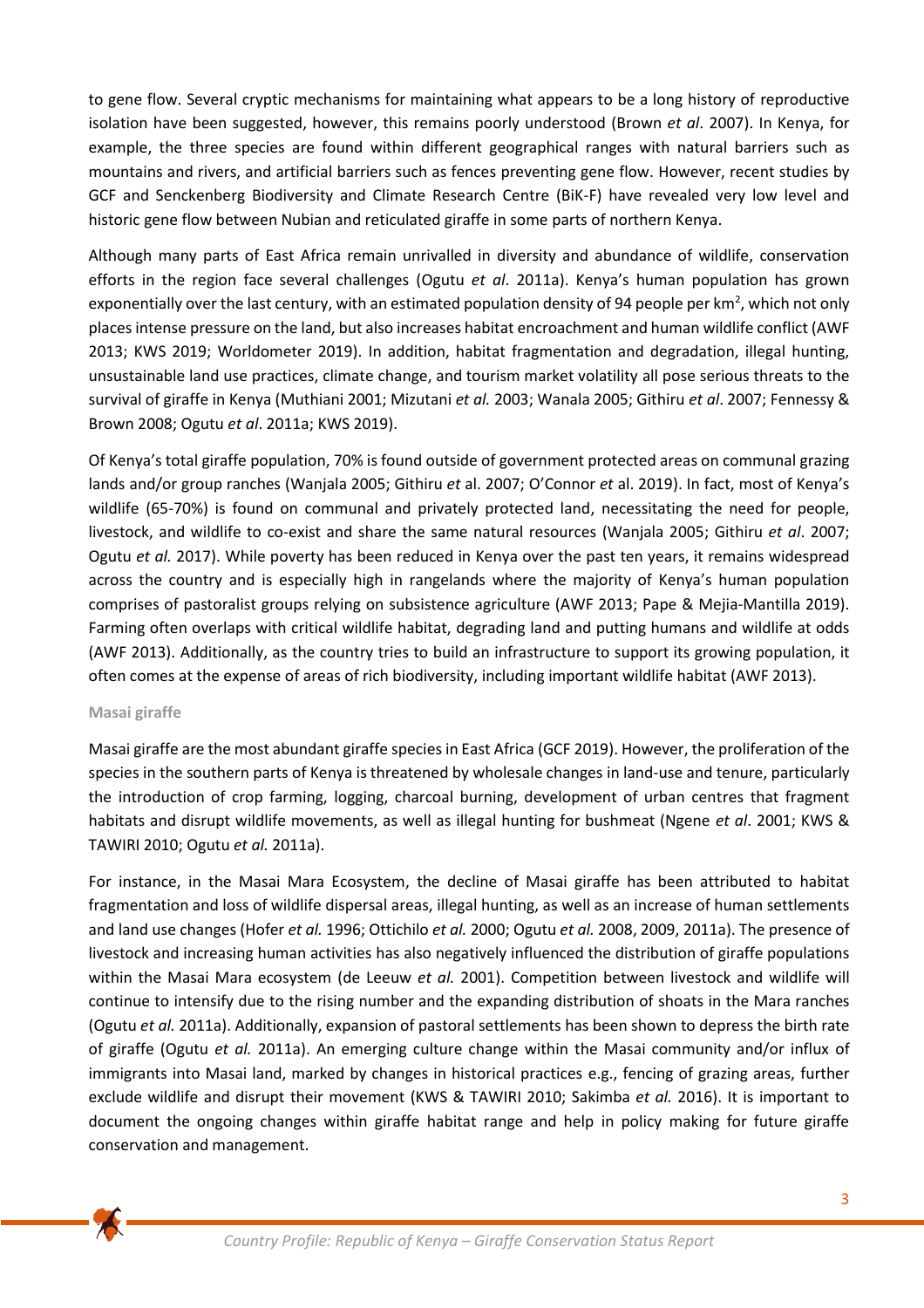to gene flow. Several cryptic mechanisms for maintaining what appears to be a long history of reproductive isolation have been suggested, however, this remains poorly understood (Brown *et al*. 2007). In Kenya, for example, the three species are found within different geographical ranges with natural barriers such as mountains and rivers, and artificial barriers such as fences preventing gene flow. However, recent studies by GCF and Senckenberg Biodiversity and Climate Research Centre (BiK-F) have revealed very low level and historic gene flow between Nubian and reticulated giraffe in some parts of northern Kenya.

Although many parts of East Africa remain unrivalled in diversity and abundance of wildlife, conservation efforts in the region face several challenges (Ogutu *et al*. 2011a). Kenya's human population has grown exponentially over the last century, with an estimated population density of 94 people per km<sup>2</sup>, which not only places intense pressure on the land, but also increases habitat encroachment and human wildlife conflict (AWF 2013; KWS 2019; Worldometer 2019). In addition, habitat fragmentation and degradation, illegal hunting, unsustainable land use practices, climate change, and tourism market volatility all pose serious threats to the survival of giraffe in Kenya (Muthiani 2001; Mizutani *et al.* 2003; Wanala 2005; Githiru *et al*. 2007; Fennessy & Brown 2008; Ogutu *et al*. 2011a; KWS 2019).

Of Kenya's total giraffe population, 70% is found outside of government protected areas on communal grazing lands and/or group ranches (Wanjala 2005; Githiru *et* al. 2007; O'Connor *et* al. 2019). In fact, most of Kenya's wildlife (65-70%) is found on communal and privately protected land, necessitating the need for people, livestock, and wildlife to co-exist and share the same natural resources (Wanjala 2005; Githiru *et al*. 2007; Ogutu *et al.* 2017). While poverty has been reduced in Kenya over the past ten years, it remains widespread across the country and is especially high in rangelands where the majority of Kenya's human population comprises of pastoralist groups relying on subsistence agriculture (AWF 2013; Pape & Mejia-Mantilla 2019). Farming often overlaps with critical wildlife habitat, degrading land and putting humans and wildlife at odds (AWF 2013). Additionally, as the country tries to build an infrastructure to support its growing population, it often comes at the expense of areas of rich biodiversity, including important wildlife habitat (AWF 2013).

### **Masai giraffe**

Masai giraffe are the most abundant giraffe species in East Africa (GCF 2019). However, the proliferation of the species in the southern parts of Kenya is threatened by wholesale changes in land-use and tenure, particularly the introduction of crop farming, logging, charcoal burning, development of urban centres that fragment habitats and disrupt wildlife movements, as well as illegal hunting for bushmeat (Ngene *et al*. 2001; KWS & TAWIRI 2010; Ogutu *et al.* 2011a).

For instance, in the Masai Mara Ecosystem, the decline of Masai giraffe has been attributed to habitat fragmentation and loss of wildlife dispersal areas, illegal hunting, as well as an increase of human settlements and land use changes (Hofer *et al.* 1996; Ottichilo *et al.* 2000; Ogutu *et al.* 2008, 2009, 2011a). The presence of livestock and increasing human activities has also negatively influenced the distribution of giraffe populations within the Masai Mara ecosystem (de Leeuw *et al.* 2001). Competition between livestock and wildlife will continue to intensify due to the rising number and the expanding distribution of shoats in the Mara ranches (Ogutu *et al.* 2011a). Additionally, expansion of pastoral settlements has been shown to depress the birth rate of giraffe (Ogutu *et al.* 2011a). An emerging culture change within the Masai community and/or influx of immigrants into Masai land, marked by changes in historical practices e.g., fencing of grazing areas, further exclude wildlife and disrupt their movement (KWS & TAWIRI 2010; Sakimba *et al.* 2016). It is important to document the ongoing changes within giraffe habitat range and help in policy making for future giraffe conservation and management.

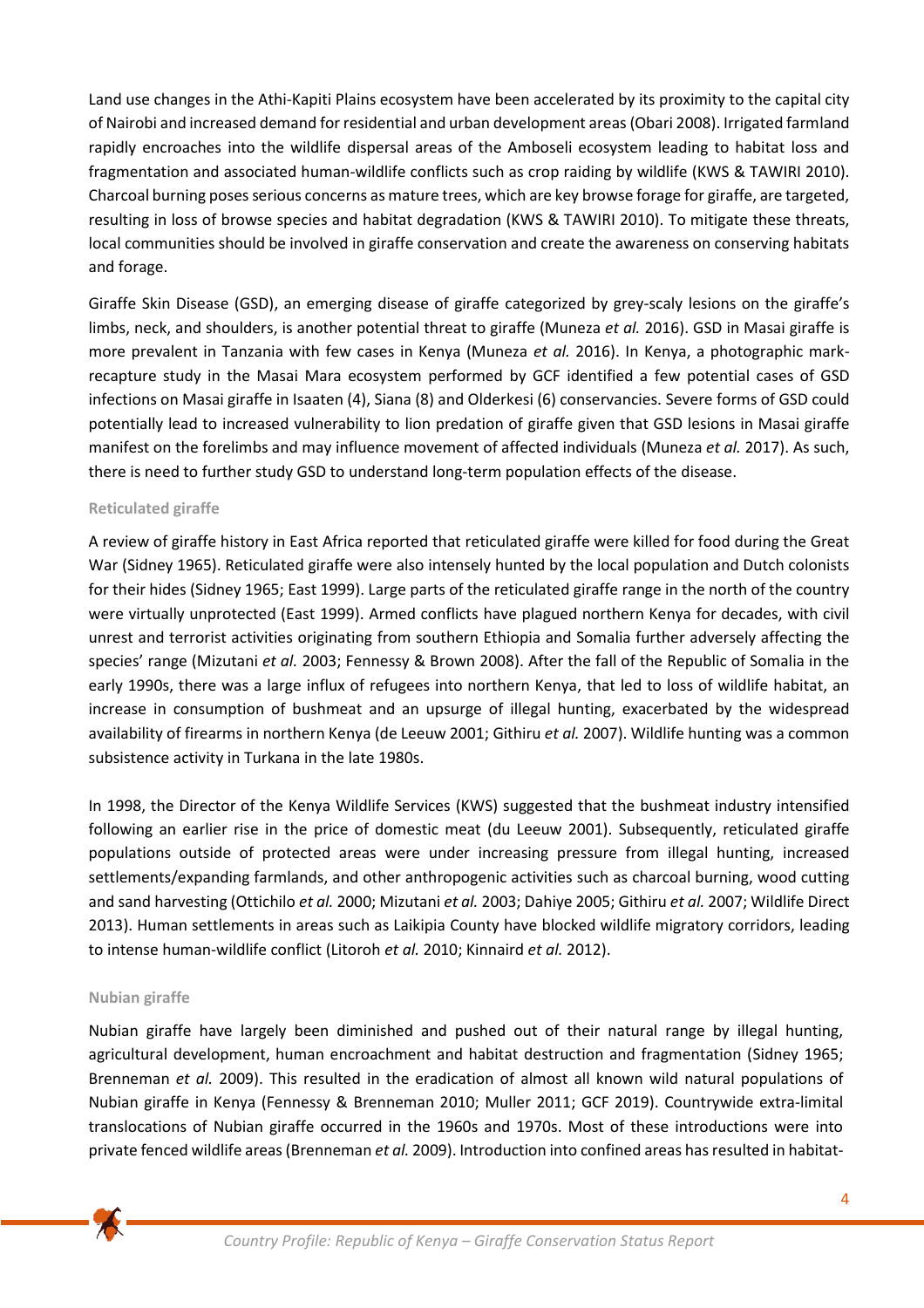Land use changes in the Athi-Kapiti Plains ecosystem have been accelerated by its proximity to the capital city of Nairobi and increased demand for residential and urban development areas (Obari 2008). Irrigated farmland rapidly encroaches into the wildlife dispersal areas of the Amboseli ecosystem leading to habitat loss and fragmentation and associated human-wildlife conflicts such as crop raiding by wildlife (KWS & TAWIRI 2010). Charcoal burning poses serious concerns as mature trees, which are key browse forage for giraffe, are targeted, resulting in loss of browse species and habitat degradation (KWS & TAWIRI 2010). To mitigate these threats, local communities should be involved in giraffe conservation and create the awareness on conserving habitats and forage.

Giraffe Skin Disease (GSD), an emerging disease of giraffe categorized by grey-scaly lesions on the giraffe's limbs, neck, and shoulders, is another potential threat to giraffe (Muneza *et al.* 2016). GSD in Masai giraffe is more prevalent in Tanzania with few cases in Kenya (Muneza *et al.* 2016). In Kenya, a photographic markrecapture study in the Masai Mara ecosystem performed by GCF identified a few potential cases of GSD infections on Masai giraffe in Isaaten (4), Siana (8) and Olderkesi (6) conservancies. Severe forms of GSD could potentially lead to increased vulnerability to lion predation of giraffe given that GSD lesions in Masai giraffe manifest on the forelimbs and may influence movement of affected individuals (Muneza *et al.* 2017). As such, there is need to further study GSD to understand long-term population effects of the disease.

# **Reticulated giraffe**

A review of giraffe history in East Africa reported that reticulated giraffe were killed for food during the Great War (Sidney 1965). Reticulated giraffe were also intensely hunted by the local population and Dutch colonists for their hides (Sidney 1965; East 1999). Large parts of the reticulated giraffe range in the north of the country were virtually unprotected (East 1999). Armed conflicts have plagued northern Kenya for decades, with civil unrest and terrorist activities originating from southern Ethiopia and Somalia further adversely affecting the species' range (Mizutani *et al.* 2003; Fennessy & Brown 2008). After the fall of the Republic of Somalia in the early 1990s, there was a large influx of refugees into northern Kenya, that led to loss of wildlife habitat, an increase in consumption of bushmeat and an upsurge of illegal hunting, exacerbated by the widespread availability of firearms in northern Kenya (de Leeuw 2001; Githiru *et al.* 2007). Wildlife hunting was a common subsistence activity in Turkana in the late 1980s.

In 1998, the Director of the Kenya Wildlife Services (KWS) suggested that the bushmeat industry intensified following an earlier rise in the price of domestic meat (du Leeuw 2001). Subsequently, reticulated giraffe populations outside of protected areas were under increasing pressure from illegal hunting, increased settlements/expanding farmlands, and other anthropogenic activities such as charcoal burning, wood cutting and sand harvesting (Ottichilo *et al.* 2000; Mizutani *et al.* 2003; Dahiye 2005; Githiru *et al.* 2007; Wildlife Direct 2013). Human settlements in areas such as Laikipia County have blocked wildlife migratory corridors, leading to intense human‐wildlife conflict (Litoroh *et al.* 2010; Kinnaird *et al.* 2012).

### **Nubian giraffe**

Nubian giraffe have largely been diminished and pushed out of their natural range by illegal hunting, agricultural development, human encroachment and habitat destruction and fragmentation (Sidney 1965; Brenneman *et al.* 2009). This resulted in the eradication of almost all known wild natural populations of Nubian giraffe in Kenya (Fennessy & Brenneman 2010; Muller 2011; GCF 2019). Countrywide extra-limital translocations of Nubian giraffe occurred in the 1960s and 1970s. Most of these introductions were into private fenced wildlife areas (Brenneman *et al.* 2009). Introduction into confined areas has resulted in habitat-

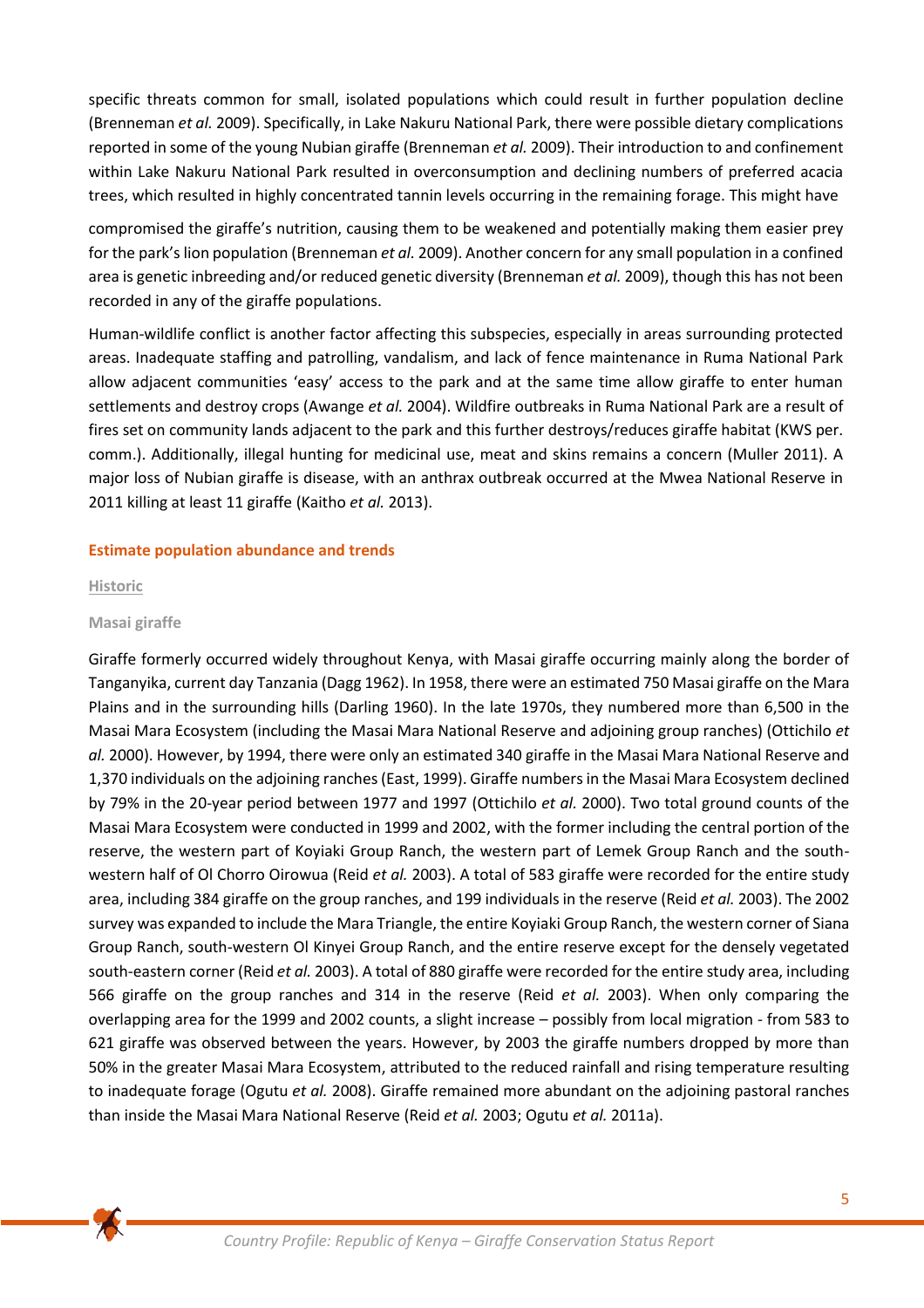specific threats common for small, isolated populations which could result in further population decline (Brenneman *et al.* 2009). Specifically, in Lake Nakuru National Park, there were possible dietary complications reported in some of the young Nubian giraffe (Brenneman *et al.* 2009). Their introduction to and confinement within Lake Nakuru National Park resulted in overconsumption and declining numbers of preferred acacia trees, which resulted in highly concentrated tannin levels occurring in the remaining forage. This might have

compromised the giraffe's nutrition, causing them to be weakened and potentially making them easier prey for the park's lion population (Brenneman *et al.* 2009). Another concern for any small population in a confined area is genetic inbreeding and/or reduced genetic diversity (Brenneman *et al.* 2009), though this has not been recorded in any of the giraffe populations.

Human-wildlife conflict is another factor affecting this subspecies, especially in areas surrounding protected areas. Inadequate staffing and patrolling, vandalism, and lack of fence maintenance in Ruma National Park allow adjacent communities 'easy' access to the park and at the same time allow giraffe to enter human settlements and destroy crops (Awange *et al.* 2004). Wildfire outbreaks in Ruma National Park are a result of fires set on community lands adjacent to the park and this further destroys/reduces giraffe habitat (KWS per. comm.). Additionally, illegal hunting for medicinal use, meat and skins remains a concern (Muller 2011). A major loss of Nubian giraffe is disease, with an anthrax outbreak occurred at the Mwea National Reserve in 2011 killing at least 11 giraffe (Kaitho *et al.* 2013).

# **Estimate population abundance and trends**

### **Historic**

# **Masai giraffe**

Giraffe formerly occurred widely throughout Kenya, with Masai giraffe occurring mainly along the border of Tanganyika, current day Tanzania (Dagg 1962). In 1958, there were an estimated 750 Masai giraffe on the Mara Plains and in the surrounding hills (Darling 1960). In the late 1970s, they numbered more than 6,500 in the Masai Mara Ecosystem (including the Masai Mara National Reserve and adjoining group ranches) (Ottichilo *et al.* 2000). However, by 1994, there were only an estimated 340 giraffe in the Masai Mara National Reserve and 1,370 individuals on the adjoining ranches (East, 1999). Giraffe numbers in the Masai Mara Ecosystem declined by 79% in the 20-year period between 1977 and 1997 (Ottichilo *et al.* 2000). Two total ground counts of the Masai Mara Ecosystem were conducted in 1999 and 2002, with the former including the central portion of the reserve, the western part of Koyiaki Group Ranch, the western part of Lemek Group Ranch and the southwestern half of Ol Chorro Oirowua (Reid *et al.* 2003). A total of 583 giraffe were recorded for the entire study area, including 384 giraffe on the group ranches, and 199 individuals in the reserve (Reid *et al.* 2003). The 2002 survey was expanded to include the Mara Triangle, the entire Koyiaki Group Ranch, the western corner of Siana Group Ranch, south-western Ol Kinyei Group Ranch, and the entire reserve except for the densely vegetated south-eastern corner (Reid *et al.* 2003). A total of 880 giraffe were recorded for the entire study area, including 566 giraffe on the group ranches and 314 in the reserve (Reid *et al.* 2003). When only comparing the overlapping area for the 1999 and 2002 counts, a slight increase – possibly from local migration - from 583 to 621 giraffe was observed between the years. However, by 2003 the giraffe numbers dropped by more than 50% in the greater Masai Mara Ecosystem, attributed to the reduced rainfall and rising temperature resulting to inadequate forage (Ogutu *et al.* 2008). Giraffe remained more abundant on the adjoining pastoral ranches than inside the Masai Mara National Reserve (Reid *et al.* 2003; Ogutu *et al.* 2011a).

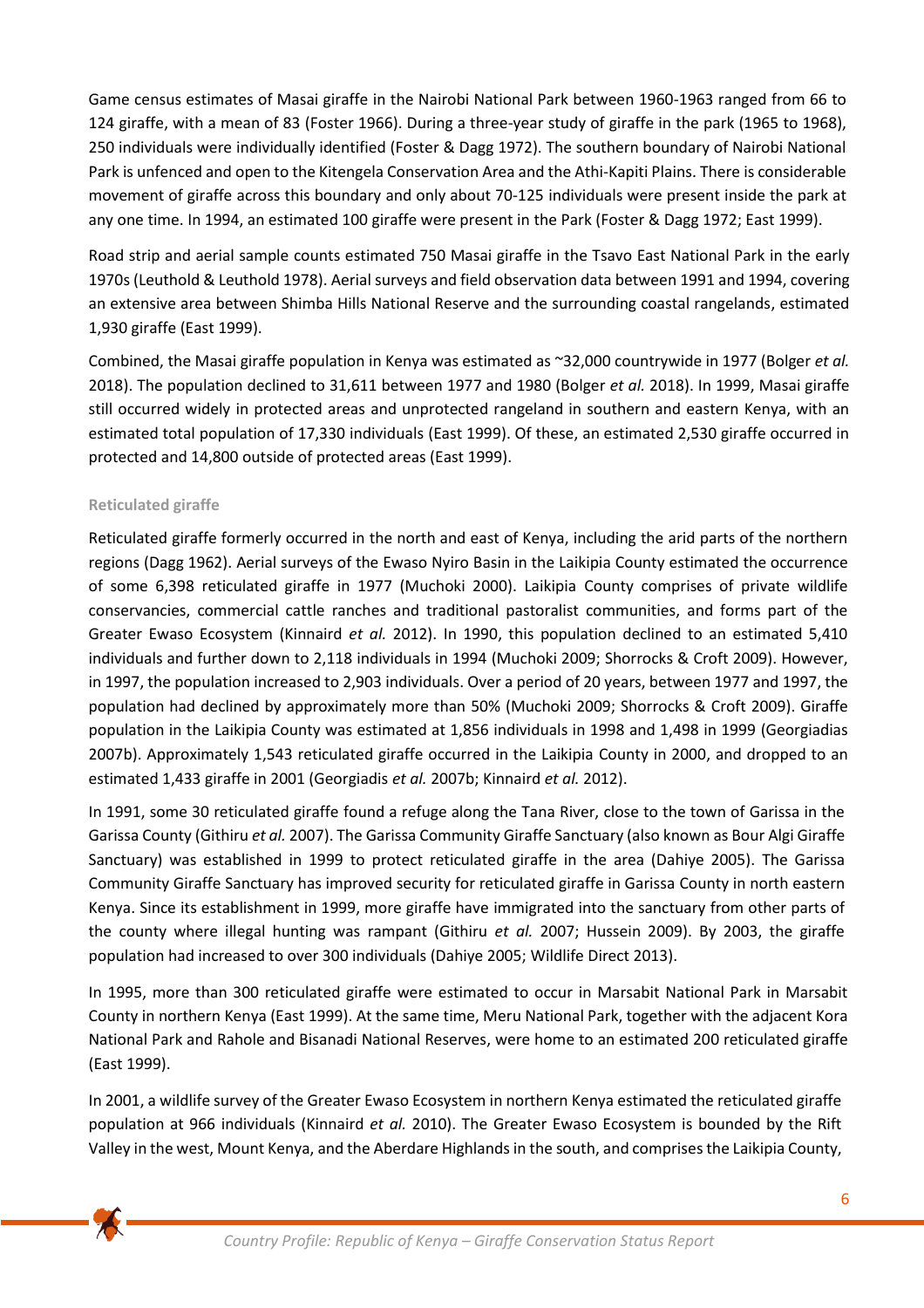Game census estimates of Masai giraffe in the Nairobi National Park between 1960-1963 ranged from 66 to 124 giraffe, with a mean of 83 (Foster 1966). During a three-year study of giraffe in the park (1965 to 1968), 250 individuals were individually identified (Foster & Dagg 1972). The southern boundary of Nairobi National Park is unfenced and open to the Kitengela Conservation Area and the Athi-Kapiti Plains. There is considerable movement of giraffe across this boundary and only about 70‐125 individuals were present inside the park at any one time. In 1994, an estimated 100 giraffe were present in the Park (Foster & Dagg 1972; East 1999).

Road strip and aerial sample counts estimated 750 Masai giraffe in the Tsavo East National Park in the early 1970s (Leuthold & Leuthold 1978). Aerial surveys and field observation data between 1991 and 1994, covering an extensive area between Shimba Hills National Reserve and the surrounding coastal rangelands, estimated 1,930 giraffe (East 1999).

Combined, the Masai giraffe population in Kenya was estimated as ~32,000 countrywide in 1977 (Bolger *et al.* 2018). The population declined to 31,611 between 1977 and 1980 (Bolger *et al.* 2018). In 1999, Masai giraffe still occurred widely in protected areas and unprotected rangeland in southern and eastern Kenya, with an estimated total population of 17,330 individuals (East 1999). Of these, an estimated 2,530 giraffe occurred in protected and 14,800 outside of protected areas (East 1999).

# **Reticulated giraffe**

Reticulated giraffe formerly occurred in the north and east of Kenya, including the arid parts of the northern regions (Dagg 1962). Aerial surveys of the Ewaso Nyiro Basin in the Laikipia County estimated the occurrence of some 6,398 reticulated giraffe in 1977 (Muchoki 2000). Laikipia County comprises of private wildlife conservancies, commercial cattle ranches and traditional pastoralist communities, and forms part of the Greater Ewaso Ecosystem (Kinnaird *et al.* 2012). In 1990, this population declined to an estimated 5,410 individuals and further down to 2,118 individuals in 1994 (Muchoki 2009; Shorrocks & Croft 2009). However, in 1997, the population increased to 2,903 individuals. Over a period of 20 years, between 1977 and 1997, the population had declined by approximately more than 50% (Muchoki 2009; Shorrocks & Croft 2009). Giraffe population in the Laikipia County was estimated at 1,856 individuals in 1998 and 1,498 in 1999 (Georgiadias 2007b). Approximately 1,543 reticulated giraffe occurred in the Laikipia County in 2000, and dropped to an estimated 1,433 giraffe in 2001 (Georgiadis *et al.* 2007b; Kinnaird *et al.* 2012).

In 1991, some 30 reticulated giraffe found a refuge along the Tana River, close to the town of Garissa in the Garissa County (Githiru *et al.* 2007). The Garissa Community Giraffe Sanctuary (also known as Bour Algi Giraffe Sanctuary) was established in 1999 to protect reticulated giraffe in the area (Dahiye 2005). The Garissa Community Giraffe Sanctuary has improved security for reticulated giraffe in Garissa County in north eastern Kenya. Since its establishment in 1999, more giraffe have immigrated into the sanctuary from other parts of the county where illegal hunting was rampant (Githiru *et al.* 2007; Hussein 2009). By 2003, the giraffe population had increased to over 300 individuals (Dahiye 2005; Wildlife Direct 2013).

In 1995, more than 300 reticulated giraffe were estimated to occur in Marsabit National Park in Marsabit County in northern Kenya (East 1999). At the same time, Meru National Park, together with the adjacent Kora National Park and Rahole and Bisanadi National Reserves, were home to an estimated 200 reticulated giraffe (East 1999).

In 2001, a wildlife survey of the Greater Ewaso Ecosystem in northern Kenya estimated the reticulated giraffe population at 966 individuals (Kinnaird *et al.* 2010). The Greater Ewaso Ecosystem is bounded by the Rift Valley in the west, Mount Kenya, and the Aberdare Highlands in the south, and comprisesthe Laikipia County,

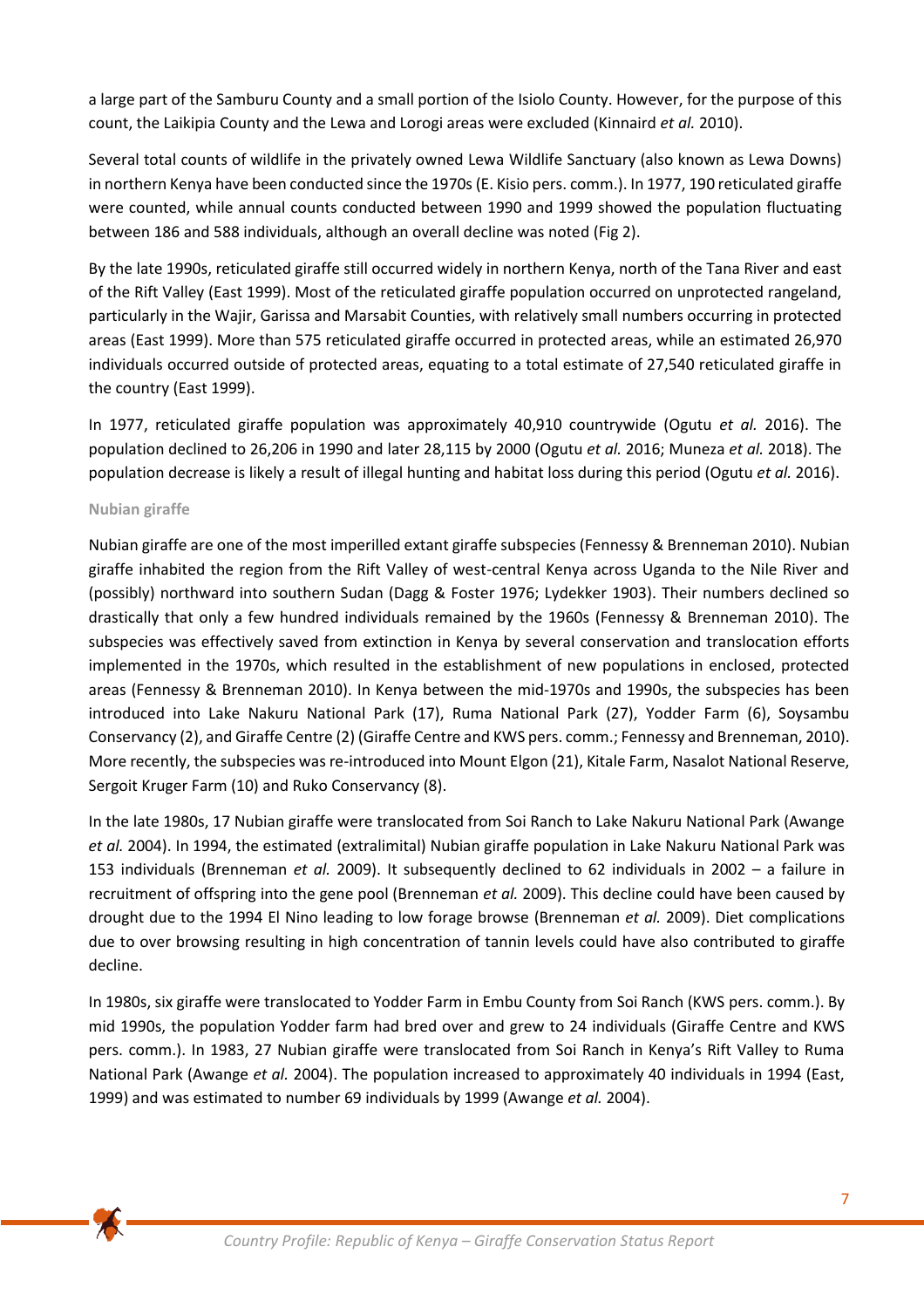a large part of the Samburu County and a small portion of the Isiolo County. However, for the purpose of this count, the Laikipia County and the Lewa and Lorogi areas were excluded (Kinnaird *et al.* 2010).

Several total counts of wildlife in the privately owned Lewa Wildlife Sanctuary (also known as Lewa Downs) in northern Kenya have been conducted since the 1970s (E. Kisio pers. comm.). In 1977, 190 reticulated giraffe were counted, while annual counts conducted between 1990 and 1999 showed the population fluctuating between 186 and 588 individuals, although an overall decline was noted (Fig 2).

By the late 1990s, reticulated giraffe still occurred widely in northern Kenya, north of the Tana River and east of the Rift Valley (East 1999). Most of the reticulated giraffe population occurred on unprotected rangeland, particularly in the Wajir, Garissa and Marsabit Counties, with relatively small numbers occurring in protected areas (East 1999). More than 575 reticulated giraffe occurred in protected areas, while an estimated 26,970 individuals occurred outside of protected areas, equating to a total estimate of 27,540 reticulated giraffe in the country (East 1999).

In 1977, reticulated giraffe population was approximately 40,910 countrywide (Ogutu *et al.* 2016). The population declined to 26,206 in 1990 and later 28,115 by 2000 (Ogutu *et al.* 2016; Muneza *et al.* 2018). The population decrease is likely a result of illegal hunting and habitat loss during this period (Ogutu *et al.* 2016).

# **Nubian giraffe**

Nubian giraffe are one of the most imperilled extant giraffe subspecies (Fennessy & Brenneman 2010). Nubian giraffe inhabited the region from the Rift Valley of west-central Kenya across Uganda to the Nile River and (possibly) northward into southern Sudan (Dagg & Foster 1976; Lydekker 1903). Their numbers declined so drastically that only a few hundred individuals remained by the 1960s (Fennessy & Brenneman 2010). The subspecies was effectively saved from extinction in Kenya by several conservation and translocation efforts implemented in the 1970s, which resulted in the establishment of new populations in enclosed, protected areas (Fennessy & Brenneman 2010). In Kenya between the mid-1970s and 1990s, the subspecies has been introduced into Lake Nakuru National Park (17), Ruma National Park (27), Yodder Farm (6), Soysambu Conservancy (2), and Giraffe Centre (2) (Giraffe Centre and KWS pers. comm.; Fennessy and Brenneman, 2010). More recently, the subspecies was re-introduced into Mount Elgon (21), Kitale Farm, Nasalot National Reserve, Sergoit Kruger Farm (10) and Ruko Conservancy (8).

In the late 1980s, 17 Nubian giraffe were translocated from Soi Ranch to Lake Nakuru National Park (Awange *et al.* 2004). In 1994, the estimated (extralimital) Nubian giraffe population in Lake Nakuru National Park was 153 individuals (Brenneman *et al.* 2009). It subsequently declined to 62 individuals in 2002 – a failure in recruitment of offspring into the gene pool (Brenneman *et al.* 2009). This decline could have been caused by drought due to the 1994 El Nino leading to low forage browse (Brenneman *et al.* 2009). Diet complications due to over browsing resulting in high concentration of tannin levels could have also contributed to giraffe decline.

In 1980s, six giraffe were translocated to Yodder Farm in Embu County from Soi Ranch (KWS pers. comm.). By mid 1990s, the population Yodder farm had bred over and grew to 24 individuals (Giraffe Centre and KWS pers. comm.). In 1983, 27 Nubian giraffe were translocated from Soi Ranch in Kenya's Rift Valley to Ruma National Park (Awange *et al.* 2004). The population increased to approximately 40 individuals in 1994 (East, 1999) and was estimated to number 69 individuals by 1999 (Awange *et al.* 2004).

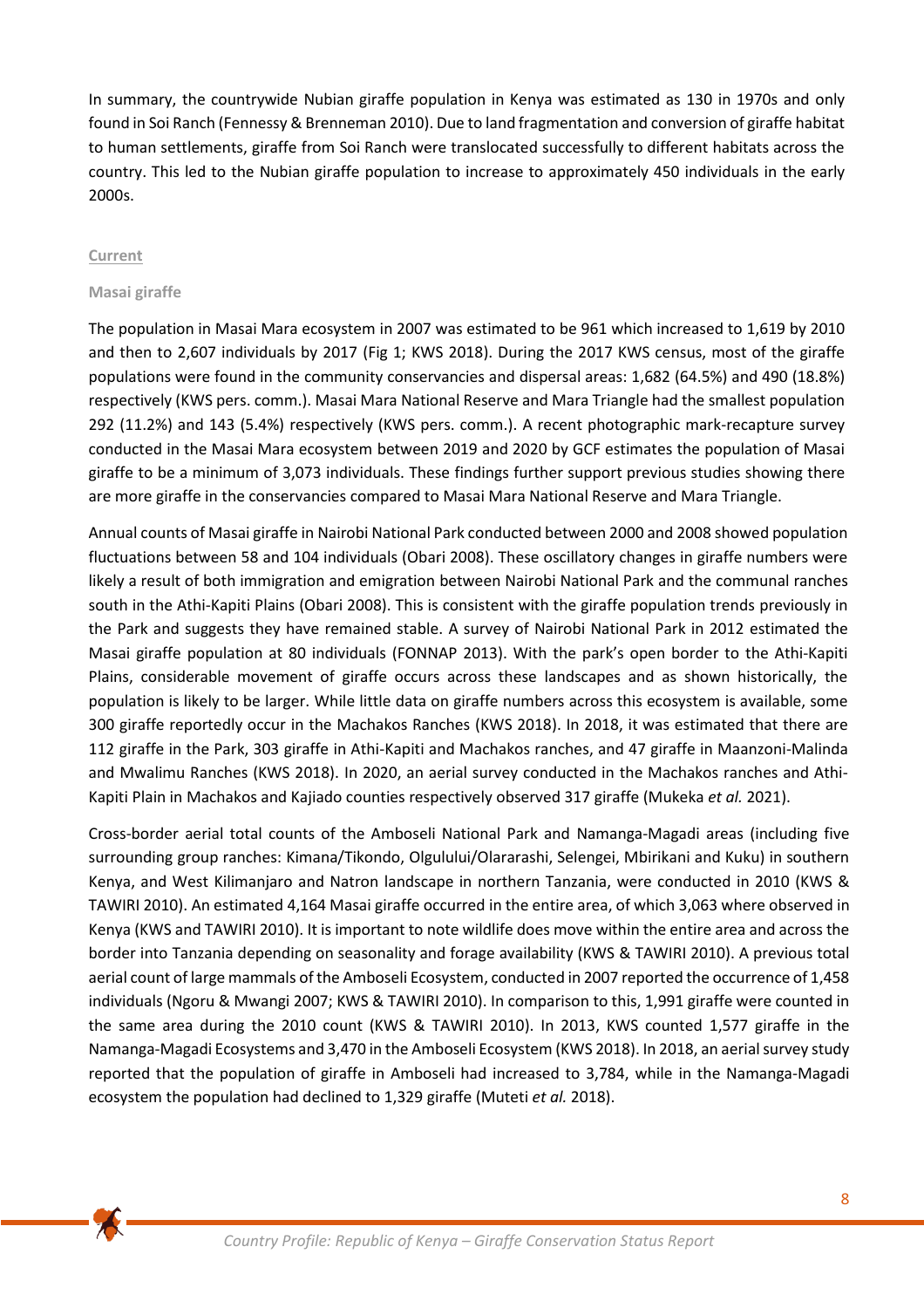In summary, the countrywide Nubian giraffe population in Kenya was estimated as 130 in 1970s and only found in Soi Ranch (Fennessy & Brenneman 2010). Due to land fragmentation and conversion of giraffe habitat to human settlements, giraffe from Soi Ranch were translocated successfully to different habitats across the country. This led to the Nubian giraffe population to increase to approximately 450 individuals in the early 2000s.

## **Current**

## **Masai giraffe**

The population in Masai Mara ecosystem in 2007 was estimated to be 961 which increased to 1,619 by 2010 and then to 2,607 individuals by 2017 (Fig 1; KWS 2018). During the 2017 KWS census, most of the giraffe populations were found in the community conservancies and dispersal areas: 1,682 (64.5%) and 490 (18.8%) respectively (KWS pers. comm.). Masai Mara National Reserve and Mara Triangle had the smallest population 292 (11.2%) and 143 (5.4%) respectively (KWS pers. comm.). A recent photographic mark-recapture survey conducted in the Masai Mara ecosystem between 2019 and 2020 by GCF estimates the population of Masai giraffe to be a minimum of 3,073 individuals. These findings further support previous studies showing there are more giraffe in the conservancies compared to Masai Mara National Reserve and Mara Triangle.

Annual counts of Masai giraffe in Nairobi National Park conducted between 2000 and 2008 showed population fluctuations between 58 and 104 individuals (Obari 2008). These oscillatory changes in giraffe numbers were likely a result of both immigration and emigration between Nairobi National Park and the communal ranches south in the Athi-Kapiti Plains (Obari 2008). This is consistent with the giraffe population trends previously in the Park and suggests they have remained stable. A survey of Nairobi National Park in 2012 estimated the Masai giraffe population at 80 individuals (FONNAP 2013). With the park's open border to the Athi‐Kapiti Plains, considerable movement of giraffe occurs across these landscapes and as shown historically, the population is likely to be larger. While little data on giraffe numbers across this ecosystem is available, some 300 giraffe reportedly occur in the Machakos Ranches (KWS 2018). In 2018, it was estimated that there are 112 giraffe in the Park, 303 giraffe in Athi-Kapiti and Machakos ranches, and 47 giraffe in Maanzoni-Malinda and Mwalimu Ranches (KWS 2018). In 2020, an aerial survey conducted in the Machakos ranches and Athi-Kapiti Plain in Machakos and Kajiado counties respectively observed 317 giraffe (Mukeka *et al.* 2021).

Cross-border aerial total counts of the Amboseli National Park and Namanga-Magadi areas (including five surrounding group ranches: Kimana/Tikondo, Olgulului/Olararashi, Selengei, Mbirikani and Kuku) in southern Kenya, and West Kilimanjaro and Natron landscape in northern Tanzania, were conducted in 2010 (KWS & TAWIRI 2010). An estimated 4,164 Masai giraffe occurred in the entire area, of which 3,063 where observed in Kenya (KWS and TAWIRI 2010). It is important to note wildlife does move within the entire area and across the border into Tanzania depending on seasonality and forage availability (KWS & TAWIRI 2010). A previous total aerial count of large mammals of the Amboseli Ecosystem, conducted in 2007 reported the occurrence of 1,458 individuals (Ngoru & Mwangi 2007; KWS & TAWIRI 2010). In comparison to this, 1,991 giraffe were counted in the same area during the 2010 count (KWS & TAWIRI 2010). In 2013, KWS counted 1,577 giraffe in the Namanga-Magadi Ecosystems and 3,470 in the Amboseli Ecosystem (KWS 2018). In 2018, an aerial survey study reported that the population of giraffe in Amboseli had increased to 3,784, while in the Namanga-Magadi ecosystem the population had declined to 1,329 giraffe (Muteti *et al.* 2018).

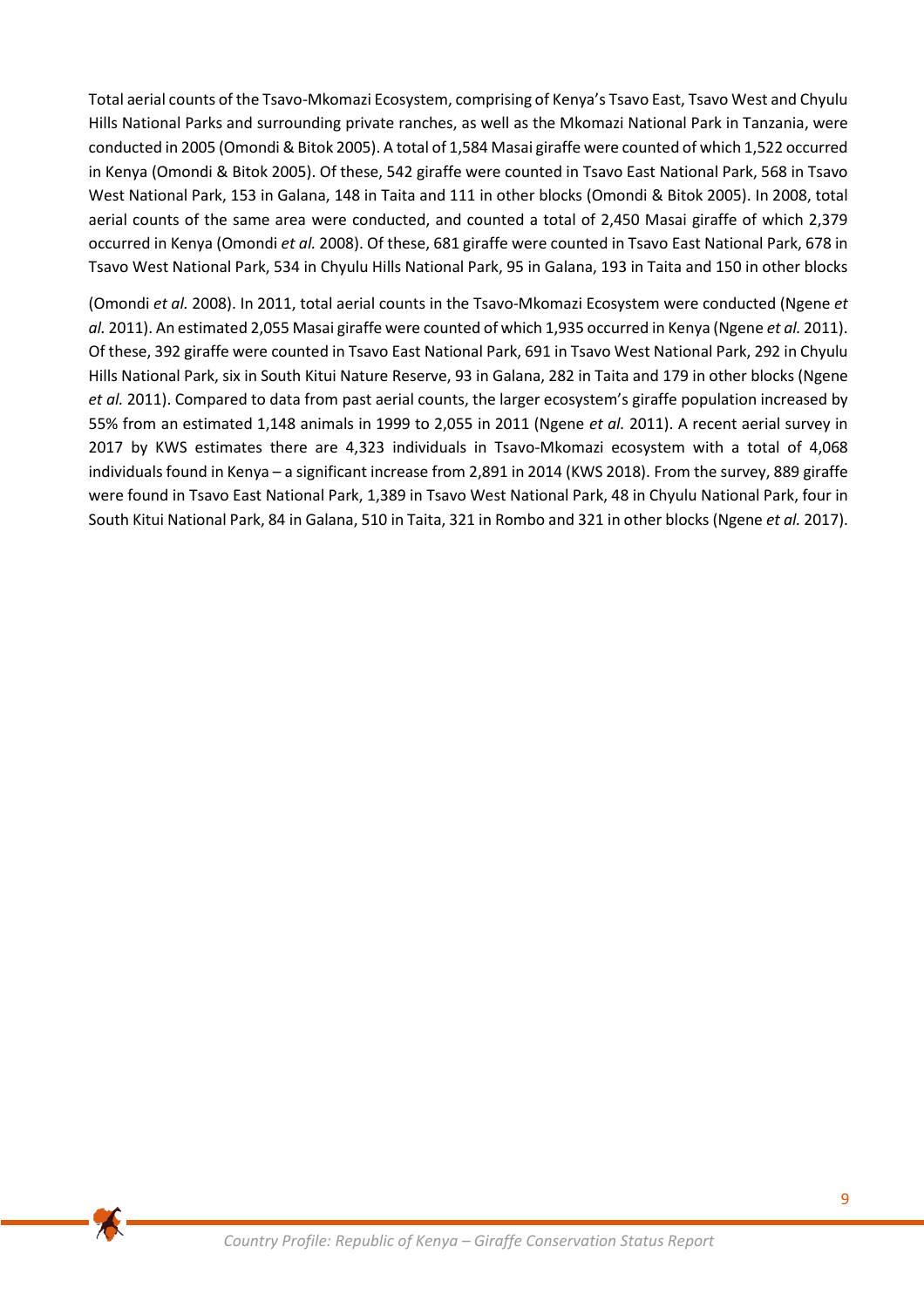Total aerial counts of the Tsavo-Mkomazi Ecosystem, comprising of Kenya's Tsavo East, Tsavo West and Chyulu Hills National Parks and surrounding private ranches, as well as the Mkomazi National Park in Tanzania, were conducted in 2005 (Omondi & Bitok 2005). A total of 1,584 Masai giraffe were counted of which 1,522 occurred in Kenya (Omondi & Bitok 2005). Of these, 542 giraffe were counted in Tsavo East National Park, 568 in Tsavo West National Park, 153 in Galana, 148 in Taita and 111 in other blocks (Omondi & Bitok 2005). In 2008, total aerial counts of the same area were conducted, and counted a total of 2,450 Masai giraffe of which 2,379 occurred in Kenya (Omondi *et al.* 2008). Of these, 681 giraffe were counted in Tsavo East National Park, 678 in Tsavo West National Park, 534 in Chyulu Hills National Park, 95 in Galana, 193 in Taita and 150 in other blocks

(Omondi *et al.* 2008). In 2011, total aerial counts in the Tsavo‐Mkomazi Ecosystem were conducted (Ngene *et al.* 2011). An estimated 2,055 Masai giraffe were counted of which 1,935 occurred in Kenya (Ngene *et al.* 2011). Of these, 392 giraffe were counted in Tsavo East National Park, 691 in Tsavo West National Park, 292 in Chyulu Hills National Park, six in South Kitui Nature Reserve, 93 in Galana, 282 in Taita and 179 in other blocks (Ngene *et al.* 2011). Compared to data from past aerial counts, the larger ecosystem's giraffe population increased by 55% from an estimated 1,148 animals in 1999 to 2,055 in 2011 (Ngene *et al.* 2011). A recent aerial survey in 2017 by KWS estimates there are 4,323 individuals in Tsavo-Mkomazi ecosystem with a total of 4,068 individuals found in Kenya – a significant increase from 2,891 in 2014 (KWS 2018). From the survey, 889 giraffe were found in Tsavo East National Park, 1,389 in Tsavo West National Park, 48 in Chyulu National Park, four in South Kitui National Park, 84 in Galana, 510 in Taita, 321 in Rombo and 321 in other blocks (Ngene *et al.* 2017).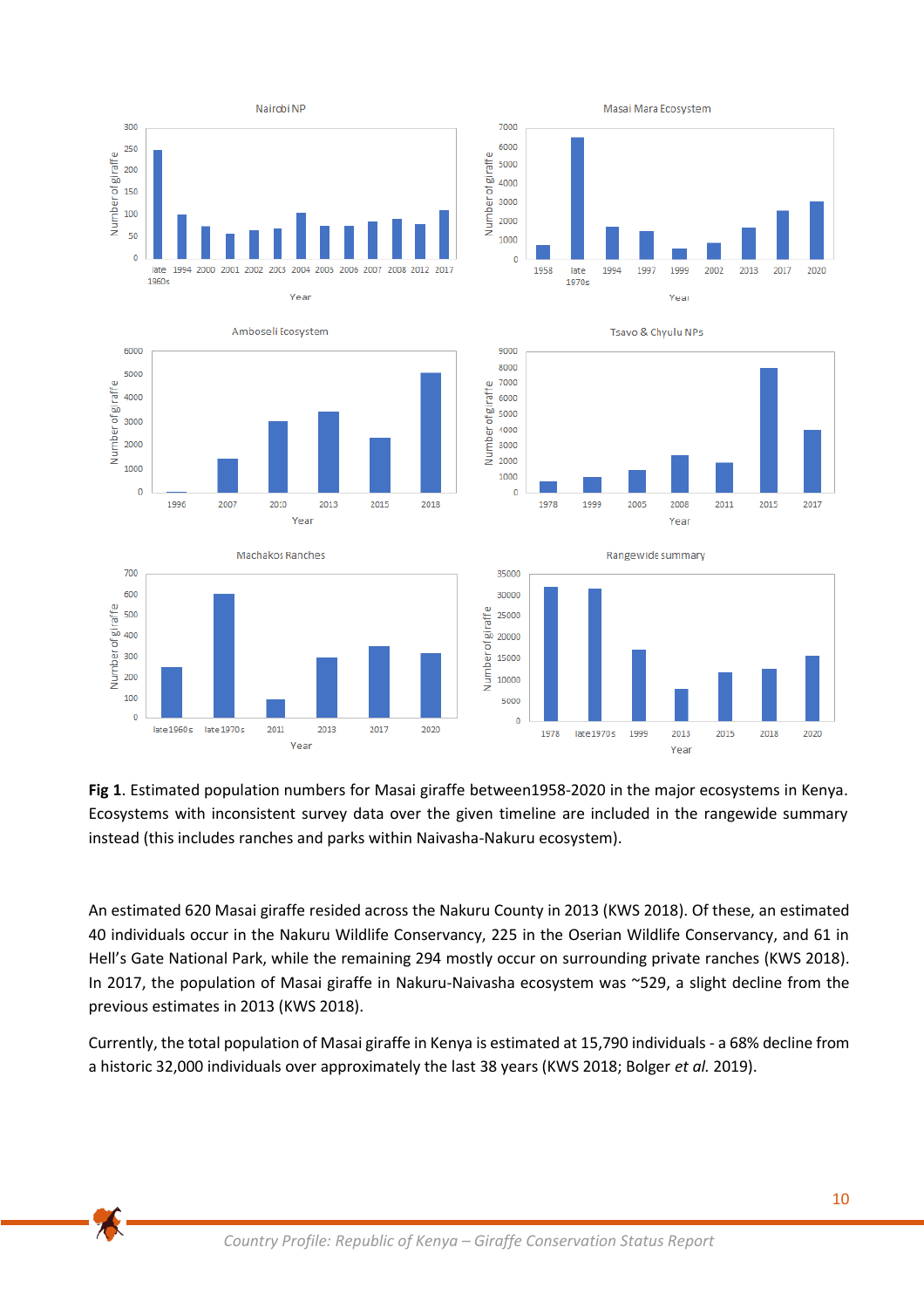

**Fig 1**. Estimated population numbers for Masai giraffe between1958-2020 in the major ecosystems in Kenya. Ecosystems with inconsistent survey data over the given timeline are included in the rangewide summary instead (this includes ranches and parks within Naivasha-Nakuru ecosystem).

An estimated 620 Masai giraffe resided across the Nakuru County in 2013 (KWS 2018). Of these, an estimated 40 individuals occur in the Nakuru Wildlife Conservancy, 225 in the Oserian Wildlife Conservancy, and 61 in Hell's Gate National Park, while the remaining 294 mostly occur on surrounding private ranches (KWS 2018). In 2017, the population of Masai giraffe in Nakuru-Naivasha ecosystem was ~529, a slight decline from the previous estimates in 2013 (KWS 2018).

Currently, the total population of Masai giraffe in Kenya is estimated at 15,790 individuals - a 68% decline from a historic 32,000 individuals over approximately the last 38 years (KWS 2018; Bolger *et al.* 2019).

 $\blacktriangleright$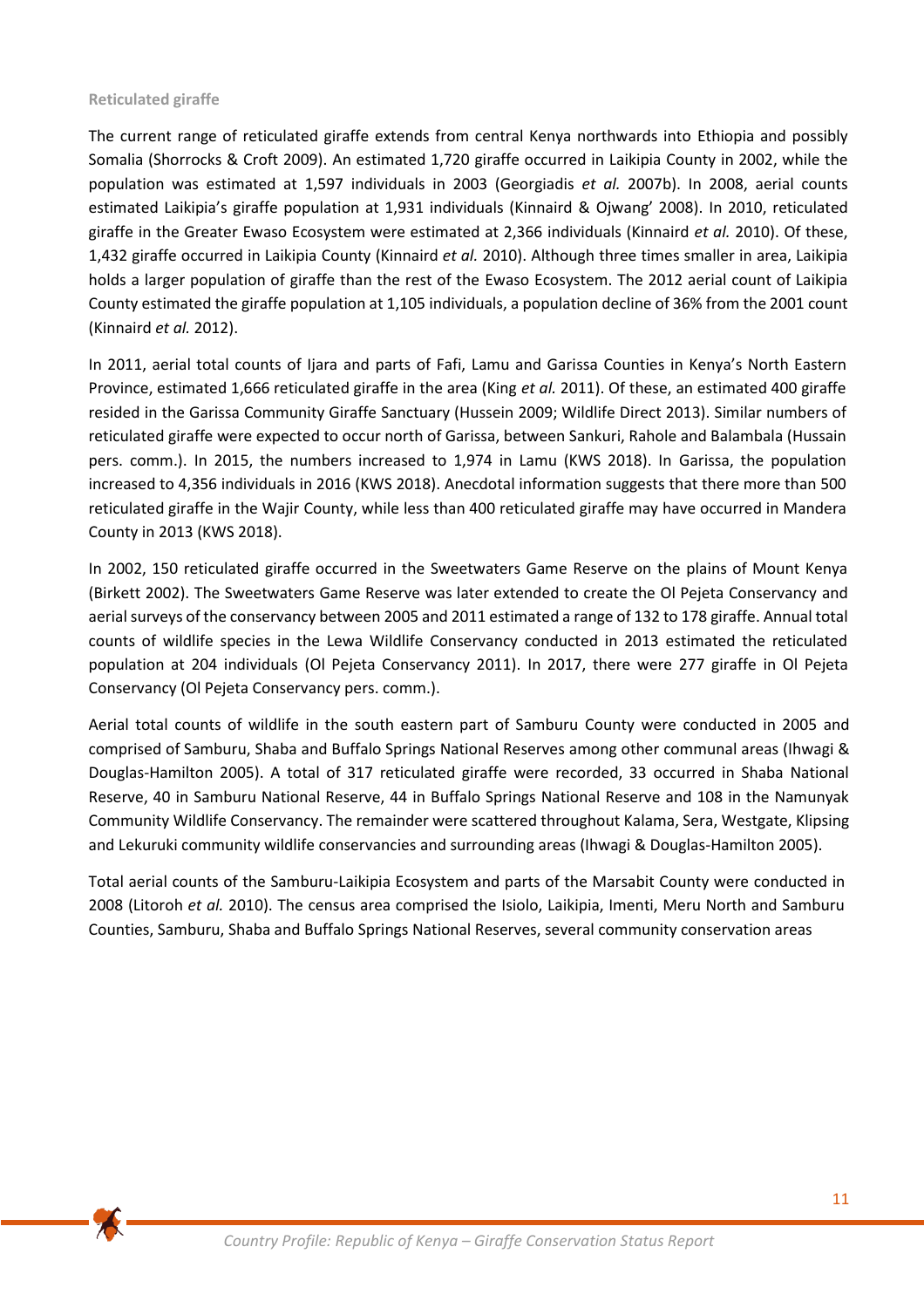## **Reticulated giraffe**

The current range of reticulated giraffe extends from central Kenya northwards into Ethiopia and possibly Somalia (Shorrocks & Croft 2009). An estimated 1,720 giraffe occurred in Laikipia County in 2002, while the population was estimated at 1,597 individuals in 2003 (Georgiadis *et al.* 2007b). In 2008, aerial counts estimated Laikipia's giraffe population at 1,931 individuals (Kinnaird & Ojwang' 2008). In 2010, reticulated giraffe in the Greater Ewaso Ecosystem were estimated at 2,366 individuals (Kinnaird *et al.* 2010). Of these, 1,432 giraffe occurred in Laikipia County (Kinnaird *et al.* 2010). Although three times smaller in area, Laikipia holds a larger population of giraffe than the rest of the Ewaso Ecosystem. The 2012 aerial count of Laikipia County estimated the giraffe population at 1,105 individuals, a population decline of 36% from the 2001 count (Kinnaird *et al.* 2012).

In 2011, aerial total counts of Ijara and parts of Fafi, Lamu and Garissa Counties in Kenya's North Eastern Province, estimated 1,666 reticulated giraffe in the area (King *et al.* 2011). Of these, an estimated 400 giraffe resided in the Garissa Community Giraffe Sanctuary (Hussein 2009; Wildlife Direct 2013). Similar numbers of reticulated giraffe were expected to occur north of Garissa, between Sankuri, Rahole and Balambala (Hussain pers. comm.). In 2015, the numbers increased to 1,974 in Lamu (KWS 2018). In Garissa, the population increased to 4,356 individuals in 2016 (KWS 2018). Anecdotal information suggests that there more than 500 reticulated giraffe in the Wajir County, while less than 400 reticulated giraffe may have occurred in Mandera County in 2013 (KWS 2018).

In 2002, 150 reticulated giraffe occurred in the Sweetwaters Game Reserve on the plains of Mount Kenya (Birkett 2002). The Sweetwaters Game Reserve was later extended to create the Ol Pejeta Conservancy and aerial surveys of the conservancy between 2005 and 2011 estimated a range of 132 to 178 giraffe. Annual total counts of wildlife species in the Lewa Wildlife Conservancy conducted in 2013 estimated the reticulated population at 204 individuals (Ol Pejeta Conservancy 2011). In 2017, there were 277 giraffe in Ol Pejeta Conservancy (Ol Pejeta Conservancy pers. comm.).

Aerial total counts of wildlife in the south eastern part of Samburu County were conducted in 2005 and comprised of Samburu, Shaba and Buffalo Springs National Reserves among other communal areas (Ihwagi & Douglas-Hamilton 2005). A total of 317 reticulated giraffe were recorded, 33 occurred in Shaba National Reserve, 40 in Samburu National Reserve, 44 in Buffalo Springs National Reserve and 108 in the Namunyak Community Wildlife Conservancy. The remainder were scattered throughout Kalama, Sera, Westgate, Klipsing and Lekuruki community wildlife conservancies and surrounding areas (Ihwagi & Douglas-Hamilton 2005).

Total aerial counts of the Samburu-Laikipia Ecosystem and parts of the Marsabit County were conducted in 2008 (Litoroh *et al.* 2010). The census area comprised the Isiolo, Laikipia, Imenti, Meru North and Samburu Counties, Samburu, Shaba and Buffalo Springs National Reserves, several community conservation areas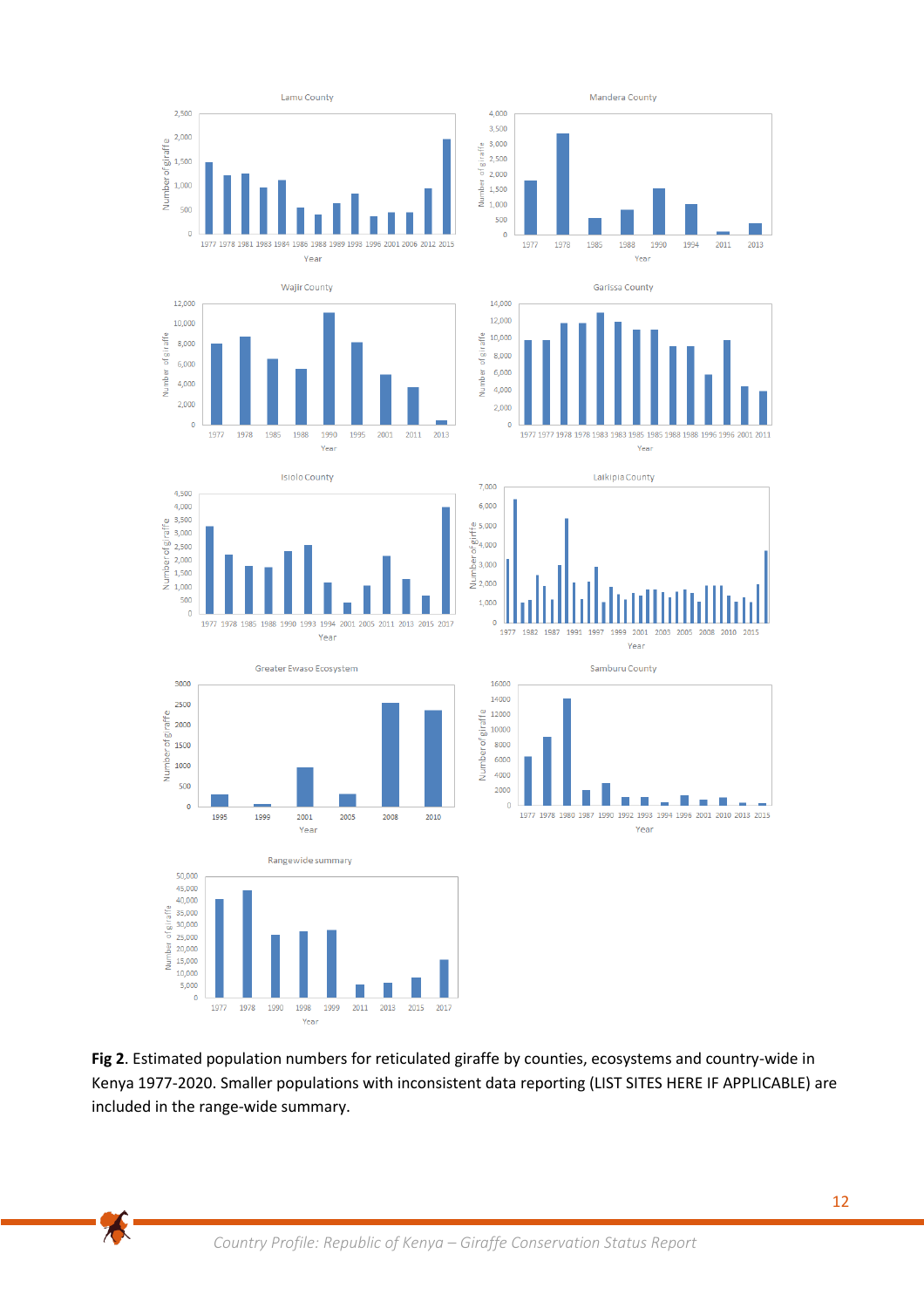

**Fig 2**. Estimated population numbers for reticulated giraffe by counties, ecosystems and country-wide in Kenya 1977-2020. Smaller populations with inconsistent data reporting (LIST SITES HERE IF APPLICABLE) are included in the range-wide summary.

本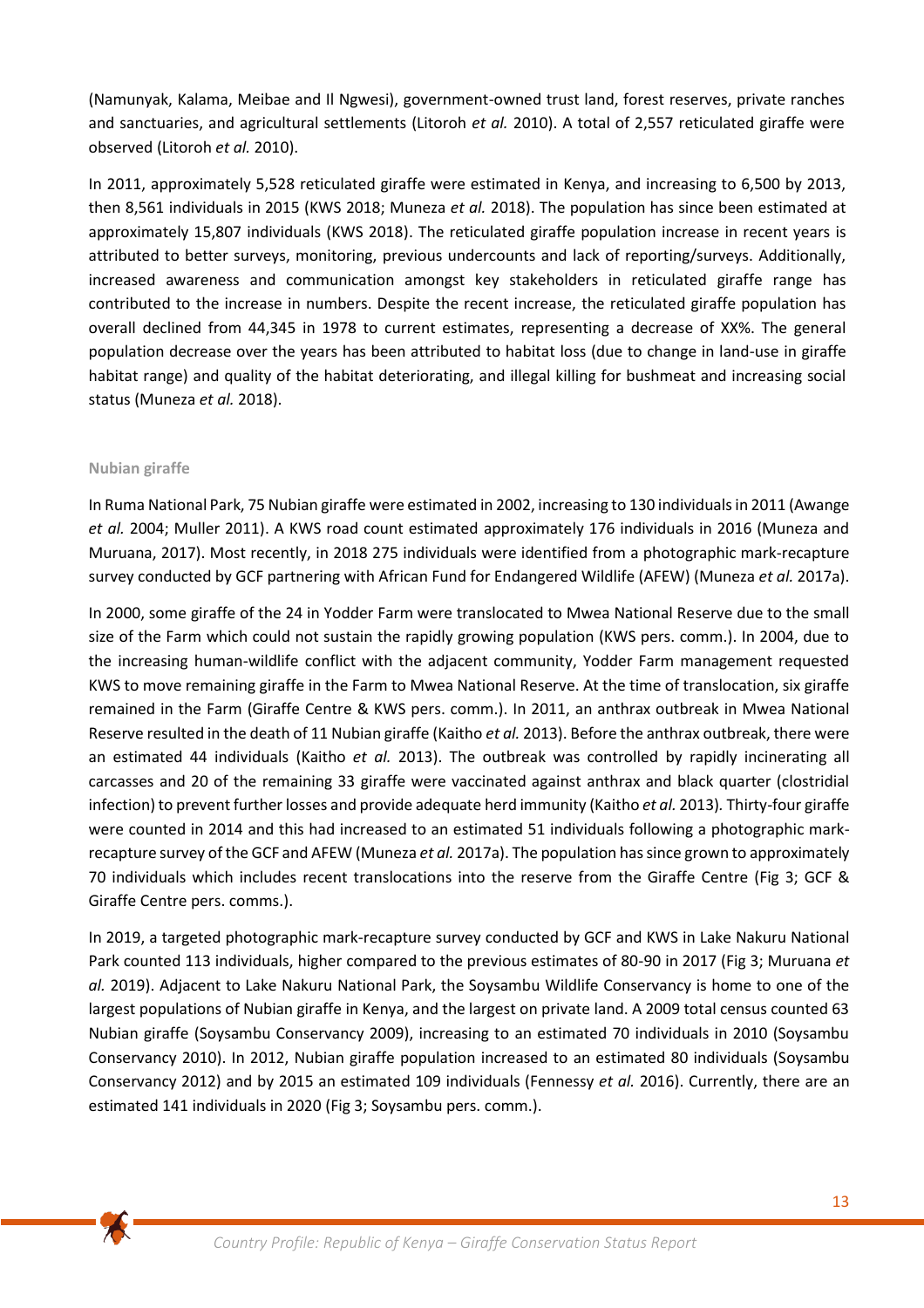(Namunyak, Kalama, Meibae and Il Ngwesi), government-owned trust land, forest reserves, private ranches and sanctuaries, and agricultural settlements (Litoroh *et al.* 2010). A total of 2,557 reticulated giraffe were observed (Litoroh *et al.* 2010).

In 2011, approximately 5,528 reticulated giraffe were estimated in Kenya, and increasing to 6,500 by 2013, then 8,561 individuals in 2015 (KWS 2018; Muneza *et al.* 2018). The population has since been estimated at approximately 15,807 individuals (KWS 2018). The reticulated giraffe population increase in recent years is attributed to better surveys, monitoring, previous undercounts and lack of reporting/surveys. Additionally, increased awareness and communication amongst key stakeholders in reticulated giraffe range has contributed to the increase in numbers. Despite the recent increase, the reticulated giraffe population has overall declined from 44,345 in 1978 to current estimates, representing a decrease of XX%. The general population decrease over the years has been attributed to habitat loss (due to change in land-use in giraffe habitat range) and quality of the habitat deteriorating, and illegal killing for bushmeat and increasing social status (Muneza *et al.* 2018).

# **Nubian giraffe**

In Ruma National Park, 75 Nubian giraffe were estimated in 2002, increasing to 130 individualsin 2011 (Awange *et al.* 2004; Muller 2011). A KWS road count estimated approximately 176 individuals in 2016 (Muneza and Muruana, 2017). Most recently, in 2018 275 individuals were identified from a photographic mark-recapture survey conducted by GCF partnering with African Fund for Endangered Wildlife (AFEW) (Muneza *et al.* 2017a).

In 2000, some giraffe of the 24 in Yodder Farm were translocated to Mwea National Reserve due to the small size of the Farm which could not sustain the rapidly growing population (KWS pers. comm.). In 2004, due to the increasing human-wildlife conflict with the adjacent community, Yodder Farm management requested KWS to move remaining giraffe in the Farm to Mwea National Reserve. At the time of translocation, six giraffe remained in the Farm (Giraffe Centre & KWS pers. comm.). In 2011, an anthrax outbreak in Mwea National Reserve resulted in the death of 11 Nubian giraffe (Kaitho *et al.* 2013). Before the anthrax outbreak, there were an estimated 44 individuals (Kaitho *et al.* 2013). The outbreak was controlled by rapidly incinerating all carcasses and 20 of the remaining 33 giraffe were vaccinated against anthrax and black quarter (clostridial infection) to prevent further losses and provide adequate herd immunity (Kaitho *et al.* 2013)*.* Thirty-four giraffe were counted in 2014 and this had increased to an estimated 51 individuals following a photographic markrecapture survey of the GCF and AFEW (Muneza *et al.* 2017a). The population has since grown to approximately 70 individuals which includes recent translocations into the reserve from the Giraffe Centre (Fig 3; GCF & Giraffe Centre pers. comms.).

In 2019, a targeted photographic mark-recapture survey conducted by GCF and KWS in Lake Nakuru National Park counted 113 individuals, higher compared to the previous estimates of 80-90 in 2017 (Fig 3; Muruana *et al.* 2019). Adjacent to Lake Nakuru National Park, the Soysambu Wildlife Conservancy is home to one of the largest populations of Nubian giraffe in Kenya, and the largest on private land. A 2009 total census counted 63 Nubian giraffe (Soysambu Conservancy 2009), increasing to an estimated 70 individuals in 2010 (Soysambu Conservancy 2010). In 2012, Nubian giraffe population increased to an estimated 80 individuals (Soysambu Conservancy 2012) and by 2015 an estimated 109 individuals (Fennessy *et al.* 2016). Currently, there are an estimated 141 individuals in 2020 (Fig 3; Soysambu pers. comm.).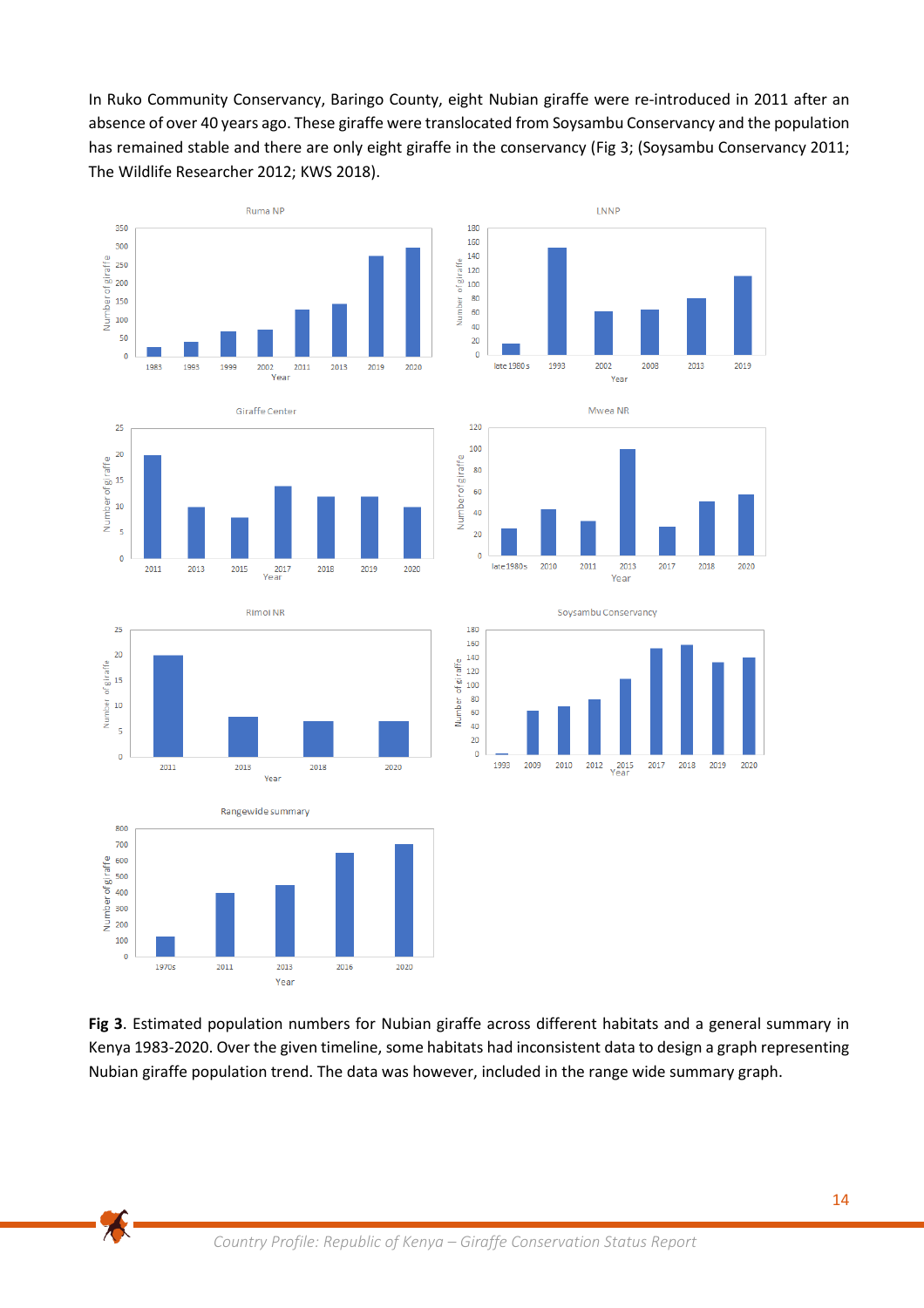In Ruko Community Conservancy, Baringo County, eight Nubian giraffe were re-introduced in 2011 after an absence of over 40 years ago. These giraffe were translocated from Soysambu Conservancy and the population has remained stable and there are only eight giraffe in the conservancy (Fig 3; (Soysambu Conservancy 2011; The Wildlife Researcher 2012; KWS 2018).









 $\bigwedge$ 







**Fig 3**. Estimated population numbers for Nubian giraffe across different habitats and a general summary in Kenya 1983-2020. Over the given timeline, some habitats had inconsistent data to design a graph representing Nubian giraffe population trend. The data was however, included in the range wide summary graph.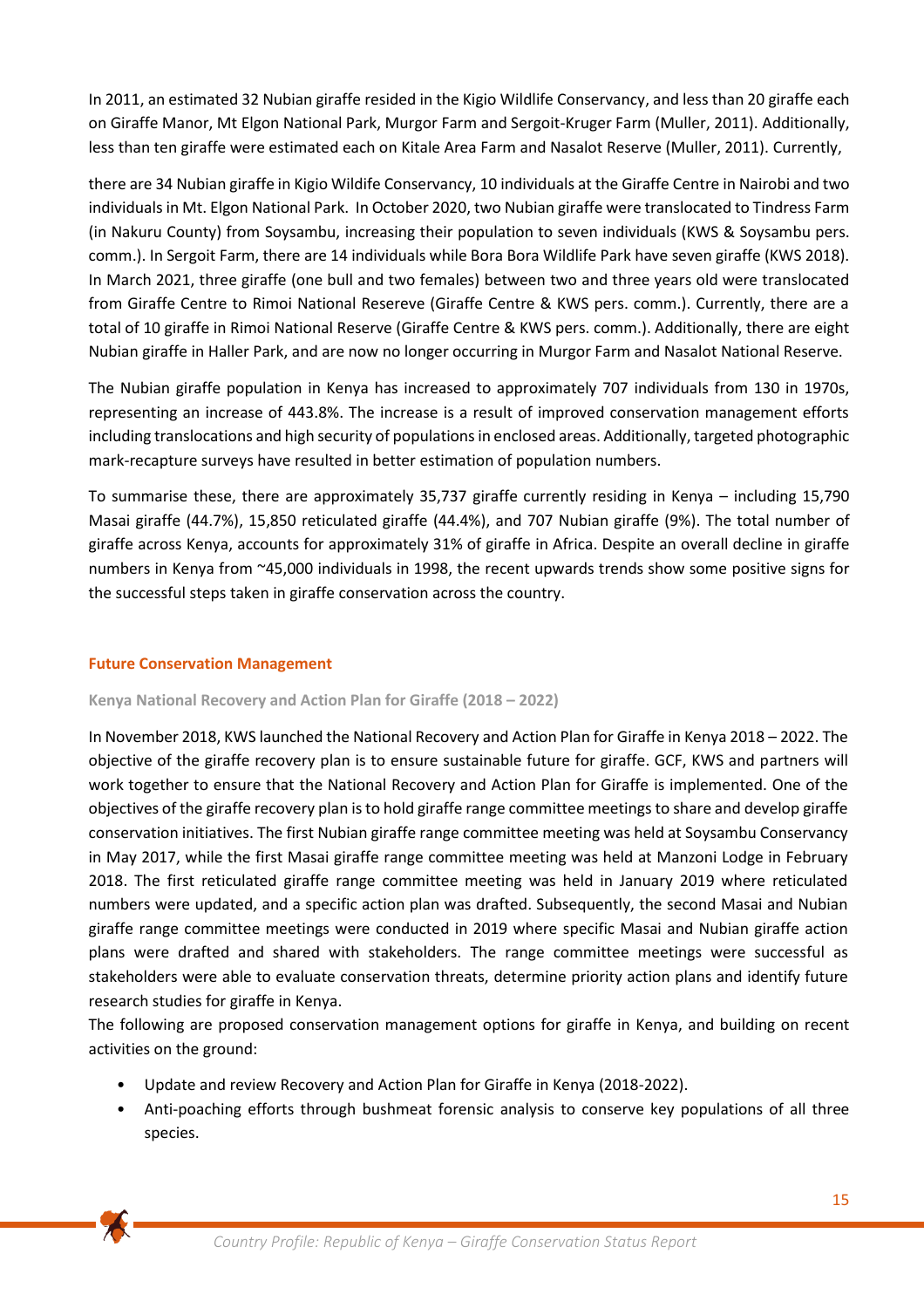In 2011, an estimated 32 Nubian giraffe resided in the Kigio Wildlife Conservancy, and less than 20 giraffe each on Giraffe Manor, Mt Elgon National Park, Murgor Farm and Sergoit-Kruger Farm (Muller, 2011). Additionally, less than ten giraffe were estimated each on Kitale Area Farm and Nasalot Reserve (Muller, 2011). Currently,

there are 34 Nubian giraffe in Kigio Wildife Conservancy, 10 individuals at the Giraffe Centre in Nairobi and two individuals in Mt. Elgon National Park. In October 2020, two Nubian giraffe were translocated to Tindress Farm (in Nakuru County) from Soysambu, increasing their population to seven individuals (KWS & Soysambu pers. comm.). In Sergoit Farm, there are 14 individuals while Bora Bora Wildlife Park have seven giraffe (KWS 2018). In March 2021, three giraffe (one bull and two females) between two and three years old were translocated from Giraffe Centre to Rimoi National Resereve (Giraffe Centre & KWS pers. comm.). Currently, there are a total of 10 giraffe in Rimoi National Reserve (Giraffe Centre & KWS pers. comm.). Additionally, there are eight Nubian giraffe in Haller Park, and are now no longer occurring in Murgor Farm and Nasalot National Reserve.

The Nubian giraffe population in Kenya has increased to approximately 707 individuals from 130 in 1970s, representing an increase of 443.8%. The increase is a result of improved conservation management efforts including translocations and high security of populations in enclosed areas. Additionally, targeted photographic mark-recapture surveys have resulted in better estimation of population numbers.

To summarise these, there are approximately 35,737 giraffe currently residing in Kenya – including 15,790 Masai giraffe (44.7%), 15,850 reticulated giraffe (44.4%), and 707 Nubian giraffe (9%). The total number of giraffe across Kenya, accounts for approximately 31% of giraffe in Africa. Despite an overall decline in giraffe numbers in Kenya from ~45,000 individuals in 1998, the recent upwards trends show some positive signs for the successful steps taken in giraffe conservation across the country.

# **Future Conservation Management**

### **Kenya National Recovery and Action Plan for Giraffe (2018 – 2022)**

In November 2018, KWS launched the National Recovery and Action Plan for Giraffe in Kenya 2018 – 2022. The objective of the giraffe recovery plan is to ensure sustainable future for giraffe. GCF, KWS and partners will work together to ensure that the National Recovery and Action Plan for Giraffe is implemented. One of the objectives of the giraffe recovery plan is to hold giraffe range committee meetings to share and develop giraffe conservation initiatives. The first Nubian giraffe range committee meeting was held at Soysambu Conservancy in May 2017, while the first Masai giraffe range committee meeting was held at Manzoni Lodge in February 2018. The first reticulated giraffe range committee meeting was held in January 2019 where reticulated numbers were updated, and a specific action plan was drafted. Subsequently, the second Masai and Nubian giraffe range committee meetings were conducted in 2019 where specific Masai and Nubian giraffe action plans were drafted and shared with stakeholders. The range committee meetings were successful as stakeholders were able to evaluate conservation threats, determine priority action plans and identify future research studies for giraffe in Kenya.

The following are proposed conservation management options for giraffe in Kenya, and building on recent activities on the ground:

- Update and review Recovery and Action Plan for Giraffe in Kenya (2018-2022).
- Anti-poaching efforts through bushmeat forensic analysis to conserve key populations of all three species.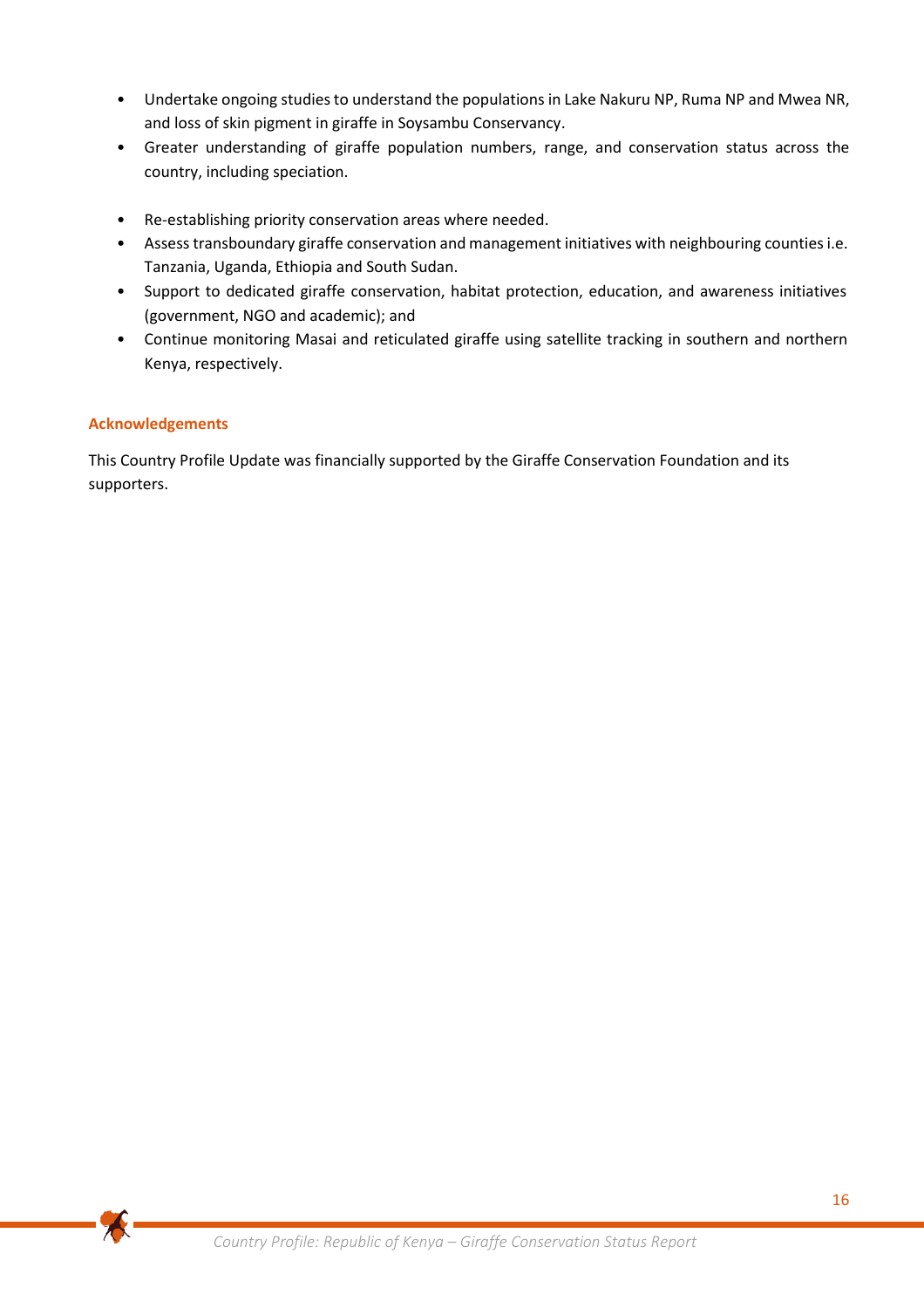- Undertake ongoing studies to understand the populations in Lake Nakuru NP, Ruma NP and Mwea NR, and loss of skin pigment in giraffe in Soysambu Conservancy.
- Greater understanding of giraffe population numbers, range, and conservation status across the country, including speciation.
- Re-establishing priority conservation areas where needed.
- Assess transboundary giraffe conservation and management initiatives with neighbouring counties i.e. Tanzania, Uganda, Ethiopia and South Sudan.
- Support to dedicated giraffe conservation, habitat protection, education, and awareness initiatives (government, NGO and academic); and
- Continue monitoring Masai and reticulated giraffe using satellite tracking in southern and northern Kenya, respectively.

# **Acknowledgements**

 $\blacktriangleright$ 

This Country Profile Update was financially supported by the Giraffe Conservation Foundation and its supporters.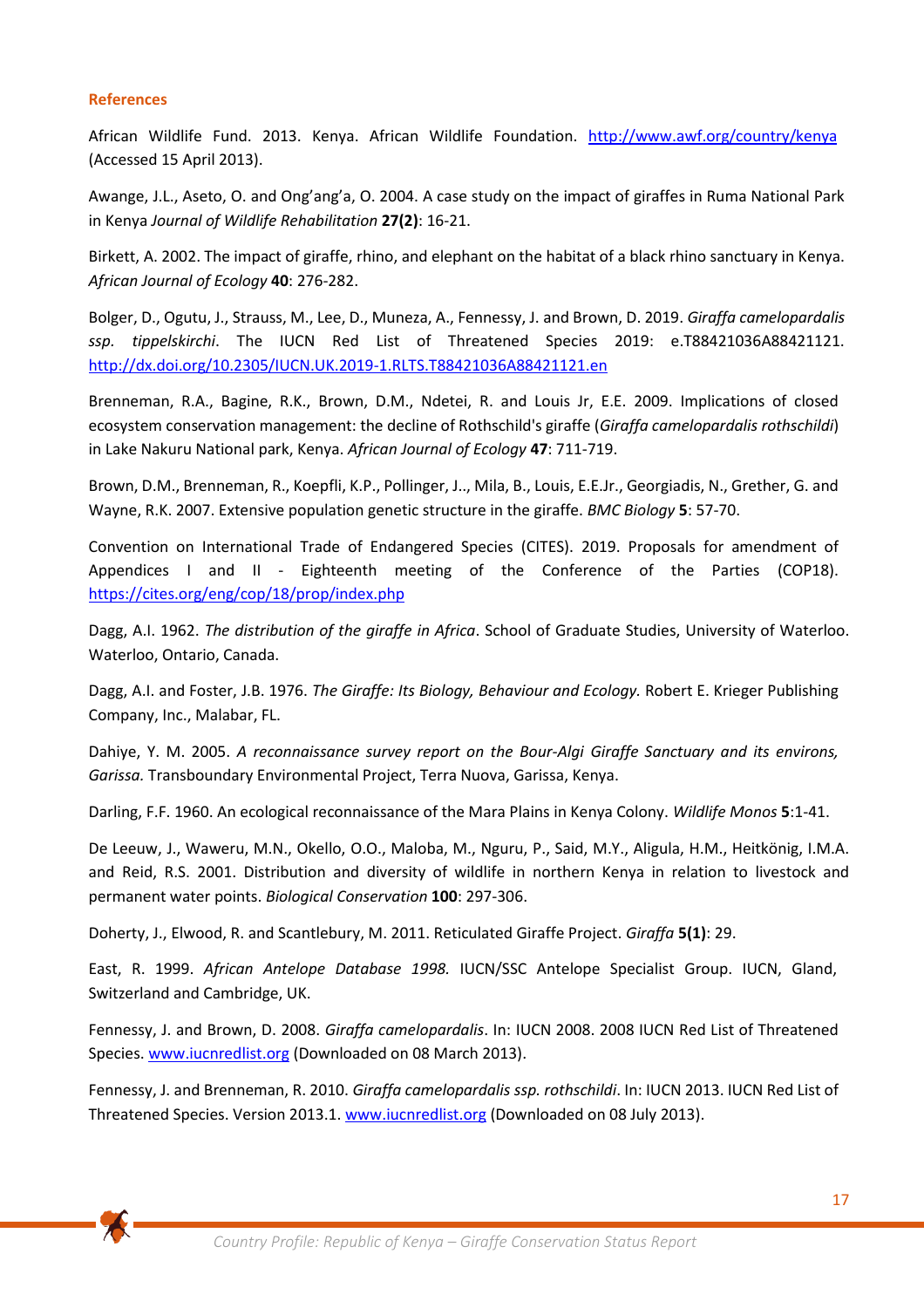### **References**

African Wildlife Fund. 2013. Kenya. African Wildlife Foundation. <http://www.awf.org/country/kenya> (Accessed 15 April 2013).

Awange, J.L., Aseto, O. and Ong'ang'a, O. 2004. A case study on the impact of giraffes in Ruma National Park in Kenya *Journal of Wildlife Rehabilitation* **27(2)**: 16‐21.

Birkett, A. 2002. The impact of giraffe, rhino, and elephant on the habitat of a black rhino sanctuary in Kenya. *African Journal of Ecology* **40**: 276‐282.

Bolger, D., Ogutu, J., Strauss, M., Lee, D., Muneza, A., Fennessy, J. and Brown, D. 2019. *Giraffa camelopardalis ssp. tippelskirchi*. The IUCN Red List of Threatened Species 2019: e.T88421036A88421121. <http://dx.doi.org/10.2305/IUCN.UK.2019-1.RLTS.T88421036A88421121.en>

Brenneman, R.A., Bagine, R.K., Brown, D.M., Ndetei, R. and Louis Jr, E.E. 2009. Implications of closed ecosystem conservation management: the decline of Rothschild's giraffe (*Giraffa camelopardalis rothschildi*) in Lake Nakuru National park, Kenya. *African Journal of Ecology* **47**: 711‐719.

Brown, D.M., Brenneman, R., Koepfli, K.P., Pollinger, J.., Mila, B., Louis, E.E.Jr., Georgiadis, N., Grether, G. and Wayne, R.K. 2007. Extensive population genetic structure in the giraffe. *BMC Biology* **5**: 57‐70.

Convention on International Trade of Endangered Species (CITES). 2019. Proposals for amendment of Appendices I and II - Eighteenth meeting of the Conference of the Parties (COP18). <https://cites.org/eng/cop/18/prop/index.php>

Dagg, A.I. 1962. *The distribution of the giraffe in Africa*. School of Graduate Studies, University of Waterloo. Waterloo, Ontario, Canada.

Dagg, A.I. and Foster, J.B. 1976. *The Giraffe: Its Biology, Behaviour and Ecology.* Robert E. Krieger Publishing Company, Inc., Malabar, FL.

Dahiye, Y. M. 2005. *A reconnaissance survey report on the Bour‐Algi Giraffe Sanctuary and its environs, Garissa.* Transboundary Environmental Project, Terra Nuova, Garissa, Kenya.

Darling, F.F. 1960. An ecological reconnaissance of the Mara Plains in Kenya Colony. *Wildlife Monos* **5**:1‐41.

De Leeuw, J., Waweru, M.N., Okello, O.O., Maloba, M., Nguru, P., Said, M.Y., Aligula, H.M., Heitkönig, I.M.A. and Reid, R.S. 2001. Distribution and diversity of wildlife in northern Kenya in relation to livestock and permanent water points. *Biological Conservation* **100**: 297‐306.

Doherty, J., Elwood, R. and Scantlebury, M. 2011. Reticulated Giraffe Project. *Giraffa* **5(1)**: 29.

East, R. 1999. *African Antelope Database 1998.* IUCN/SSC Antelope Specialist Group. IUCN, Gland, Switzerland and Cambridge, UK.

Fennessy, J. and Brown, D. 2008. *Giraffa camelopardalis*. In: IUCN 2008. 2008 IUCN Red List of Threatened Species[. www.iucnredlist.org](http://www.iucnredlist.org/) (Downloaded on 08 March 2013).

Fennessy, J. and Brenneman, R. 2010. *Giraffa camelopardalis ssp. rothschildi*. In: IUCN 2013. IUCN Red List of Threatened Species. Version 2013.1. [www.iucnredlist.org](http://www.iucnredlist.org/) (Downloaded on 08 July 2013).

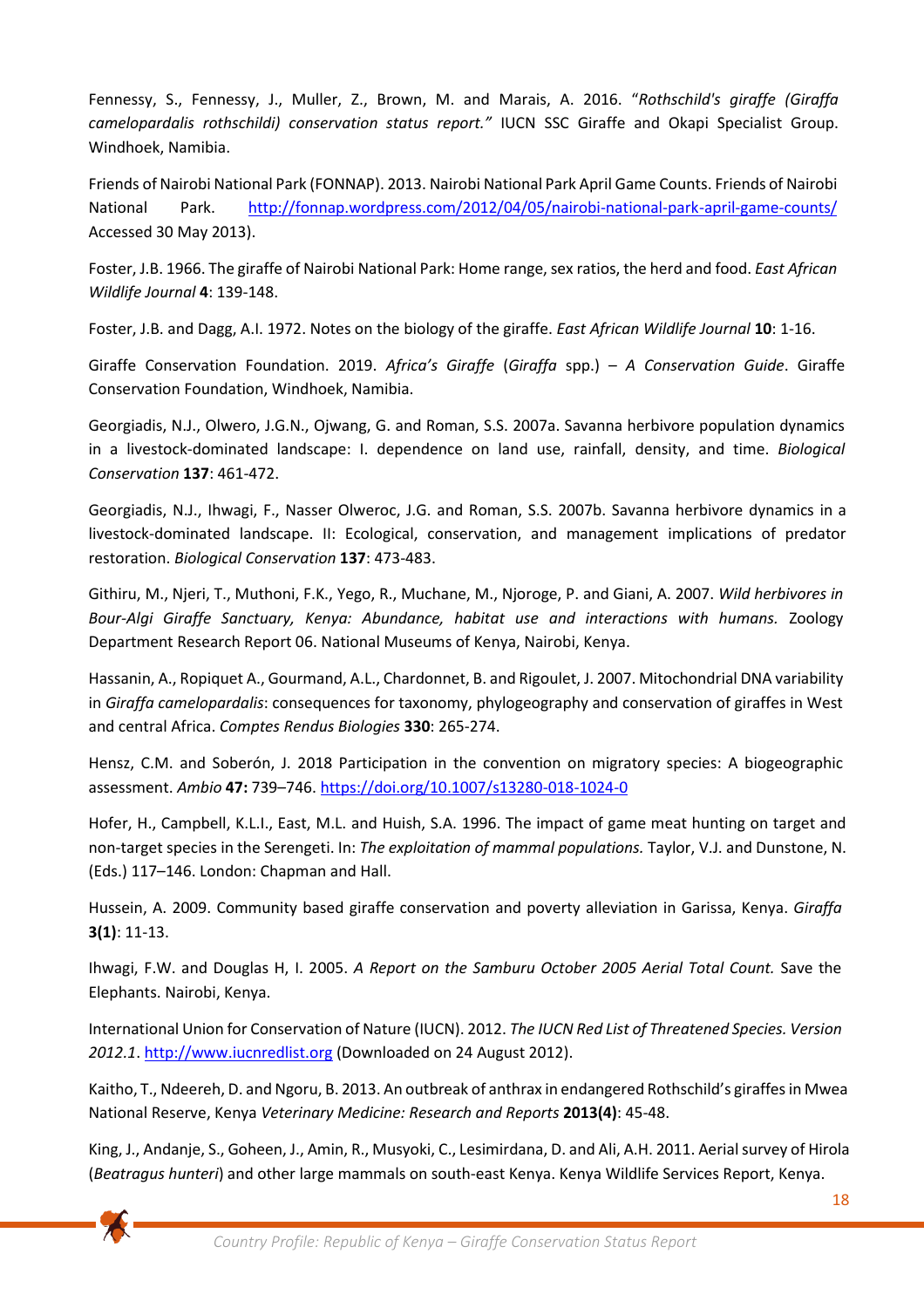Fennessy, S., Fennessy, J., Muller, Z., Brown, M. and Marais, A. 2016. "*Rothschild's giraffe (Giraffa camelopardalis rothschildi) conservation status report."* IUCN SSC Giraffe and Okapi Specialist Group. Windhoek, Namibia.

Friends of Nairobi National Park (FONNAP). 2013. Nairobi National Park April Game Counts. Friends of Nairobi National Park. http://fonnap.wordpress.com/2012/04/05/nairobi-national-park-april-game-counts/ Accessed 30 May 2013).

Foster, J.B. 1966. The giraffe of Nairobi National Park: Home range, sex ratios, the herd and food. *East African Wildlife Journal* **4**: 139-148.

Foster, J.B. and Dagg, A.I. 1972. Notes on the biology of the giraffe. *East African Wildlife Journal* **10**: 1‐16.

Giraffe Conservation Foundation. 2019. *Africa's Giraffe* (*Giraffa* spp.) – *A Conservation Guide*. Giraffe Conservation Foundation, Windhoek, Namibia.

Georgiadis, N.J., Olwero, J.G.N., Ojwang, G. and Roman, S.S. 2007a. Savanna herbivore population dynamics in a livestock‐dominated landscape: I. dependence on land use, rainfall, density, and time. *Biological Conservation* **137**: 461-472.

Georgiadis, N.J., Ihwagi, F., Nasser Olweroc, J.G. and Roman, S.S. 2007b. Savanna herbivore dynamics in a livestock‐dominated landscape. II: Ecological, conservation, and management implications of predator restoration. *Biological Conservation* **137**: 473‐483.

Githiru, M., Njeri, T., Muthoni, F.K., Yego, R., Muchane, M., Njoroge, P. and Giani, A. 2007. *Wild herbivores in Bour‐Algi Giraffe Sanctuary, Kenya: Abundance, habitat use and interactions with humans.* Zoology Department Research Report 06. National Museums of Kenya, Nairobi, Kenya.

Hassanin, A., Ropiquet A., Gourmand, A.L., Chardonnet, B. and Rigoulet, J. 2007. Mitochondrial DNA variability in *Giraffa camelopardalis*: consequences for taxonomy, phylogeography and conservation of giraffes in West and central Africa. *Comptes Rendus Biologies* **330**: 265‐274.

Hensz, C.M. and Soberón, J. 2018 Participation in the convention on migratory species: A biogeographic assessment. *Ambio* **47:** 739–746.<https://doi.org/10.1007/s13280-018-1024-0>

Hofer, H., Campbell, K.L.I., East, M.L. and Huish, S.A. 1996. The impact of game meat hunting on target and non-target species in the Serengeti. In: *The exploitation of mammal populations.* Taylor, V.J. and Dunstone, N. (Eds.) 117–146. London: Chapman and Hall.

Hussein, A. 2009. Community based giraffe conservation and poverty alleviation in Garissa, Kenya. *Giraffa* **3(1)**: 11-13.

Ihwagi, F.W. and Douglas H, I. 2005. *A Report on the Samburu October 2005 Aerial Total Count.* Save the Elephants. Nairobi, Kenya.

International Union for Conservation of Nature (IUCN). 2012. *The IUCN Red List of Threatened Species. Version 2012.1*. [http://www.iucnredlist.org](http://www.iucnredlist.org/) (Downloaded on 24 August 2012).

Kaitho, T., Ndeereh, D. and Ngoru, B. 2013. An outbreak of anthrax in endangered Rothschild's giraffes in Mwea National Reserve, Kenya *Veterinary Medicine: Research and Reports* **2013(4)**: 45‐48.

King, J., Andanje, S., Goheen, J., Amin, R., Musyoki, C., Lesimirdana, D. and Ali, A.H. 2011. Aerial survey of Hirola (*Beatragus hunteri*) and other large mammals on south‐east Kenya. Kenya Wildlife Services Report, Kenya.

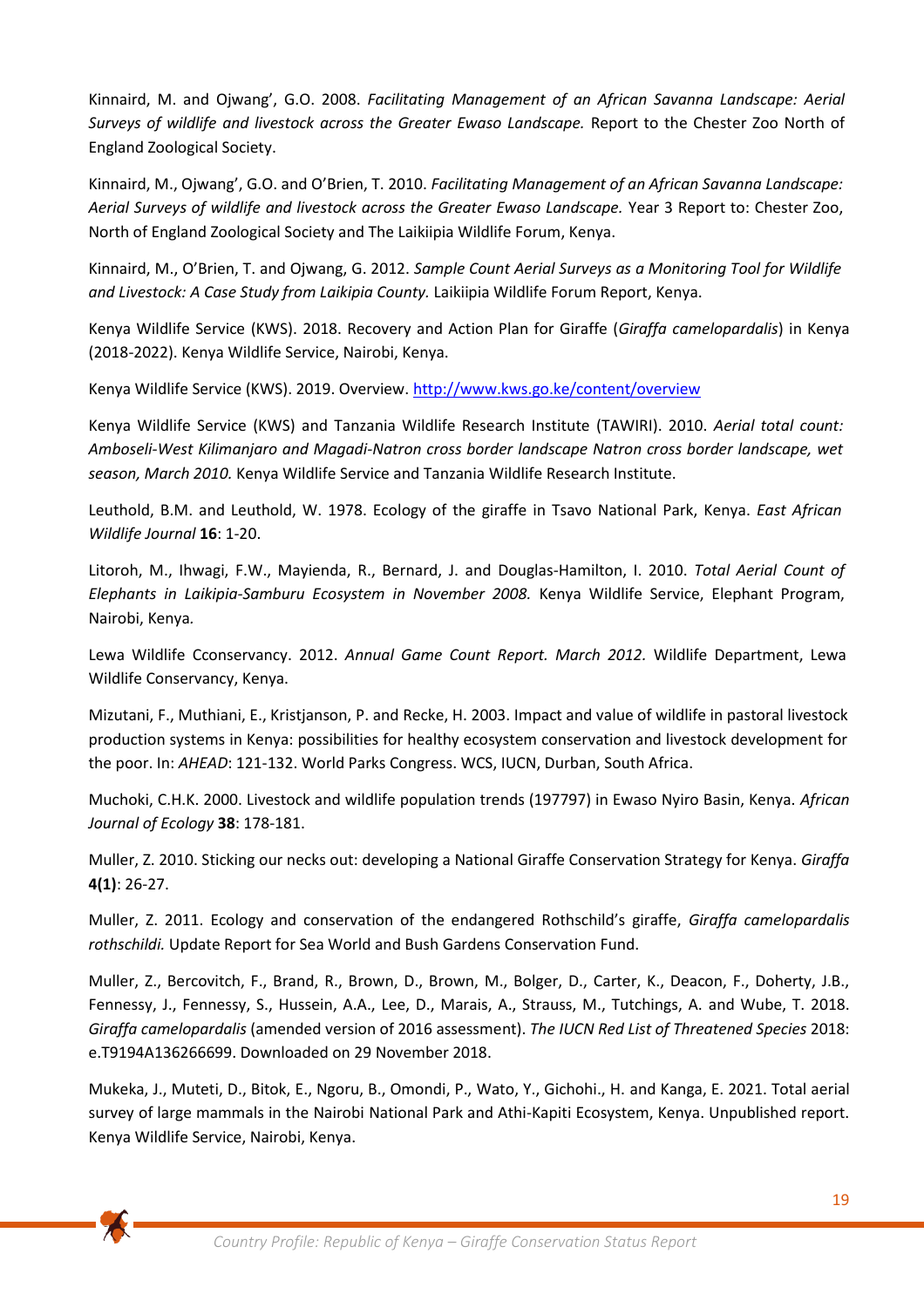Kinnaird, M. and Ojwang', G.O. 2008. *Facilitating Management of an African Savanna Landscape: Aerial Surveys of wildlife and livestock across the Greater Ewaso Landscape.* Report to the Chester Zoo North of England Zoological Society.

Kinnaird, M., Ojwang', G.O. and O'Brien, T. 2010. *Facilitating Management of an African Savanna Landscape: Aerial Surveys of wildlife and livestock across the Greater Ewaso Landscape.* Year 3 Report to: Chester Zoo, North of England Zoological Society and The Laikiipia Wildlife Forum, Kenya.

Kinnaird, M., O'Brien, T. and Ojwang, G. 2012. *Sample Count Aerial Surveys as a Monitoring Tool for Wildlife and Livestock: A Case Study from Laikipia County.* Laikiipia Wildlife Forum Report, Kenya.

Kenya Wildlife Service (KWS). 2018. Recovery and Action Plan for Giraffe (*Giraffa camelopardalis*) in Kenya (2018-2022). Kenya Wildlife Service, Nairobi, Kenya.

Kenya Wildlife Service (KWS). 2019. Overview. <http://www.kws.go.ke/content/overview>

Kenya Wildlife Service (KWS) and Tanzania Wildlife Research Institute (TAWIRI). 2010. *Aerial total count: Amboseli‐West Kilimanjaro and Magadi-Natron cross border landscape Natron cross border landscape, wet season, March 2010.* Kenya Wildlife Service and Tanzania Wildlife Research Institute.

Leuthold, B.M. and Leuthold, W. 1978. Ecology of the giraffe in Tsavo National Park, Kenya. *East African Wildlife Journal* **16**: 1‐20.

Litoroh, M., Ihwagi, F.W., Mayienda, R., Bernard, J. and Douglas‐Hamilton, I. 2010. *Total Aerial Count of Elephants in Laikipia‐Samburu Ecosystem in November 2008.* Kenya Wildlife Service, Elephant Program, Nairobi, Kenya*.*

Lewa Wildlife Cconservancy. 2012. *Annual Game Count Report. March 2012.* Wildlife Department, Lewa Wildlife Conservancy, Kenya.

Mizutani, F., Muthiani, E., Kristjanson, P. and Recke, H. 2003. Impact and value of wildlife in pastoral livestock production systems in Kenya: possibilities for healthy ecosystem conservation and livestock development for the poor. In: *AHEAD*: 121‐132. World Parks Congress. WCS, IUCN, Durban, South Africa.

Muchoki, C.H.K. 2000. Livestock and wildlife population trends (197797) in Ewaso Nyiro Basin, Kenya. *African Journal of Ecology* **38**: 178-181.

Muller, Z. 2010. Sticking our necks out: developing a National Giraffe Conservation Strategy for Kenya. *Giraffa*  **4(1)**: 26‐27.

Muller, Z. 2011. Ecology and conservation of the endangered Rothschild's giraffe, *Giraffa camelopardalis rothschildi.* Update Report for Sea World and Bush Gardens Conservation Fund.

Muller, Z., Bercovitch, F., Brand, R., Brown, D., Brown, M., Bolger, D., Carter, K., Deacon, F., Doherty, J.B., Fennessy, J., Fennessy, S., Hussein, A.A., Lee, D., Marais, A., Strauss, M., Tutchings, A. and Wube, T. 2018. *Giraffa camelopardalis* (amended version of 2016 assessment). *The IUCN Red List of Threatened Species* 2018: e.T9194A136266699. Downloaded on 29 November 2018.

Mukeka, J., Muteti, D., Bitok, E., Ngoru, B., Omondi, P., Wato, Y., Gichohi., H. and Kanga, E. 2021. Total aerial survey of large mammals in the Nairobi National Park and Athi-Kapiti Ecosystem, Kenya. Unpublished report. Kenya Wildlife Service, Nairobi, Kenya.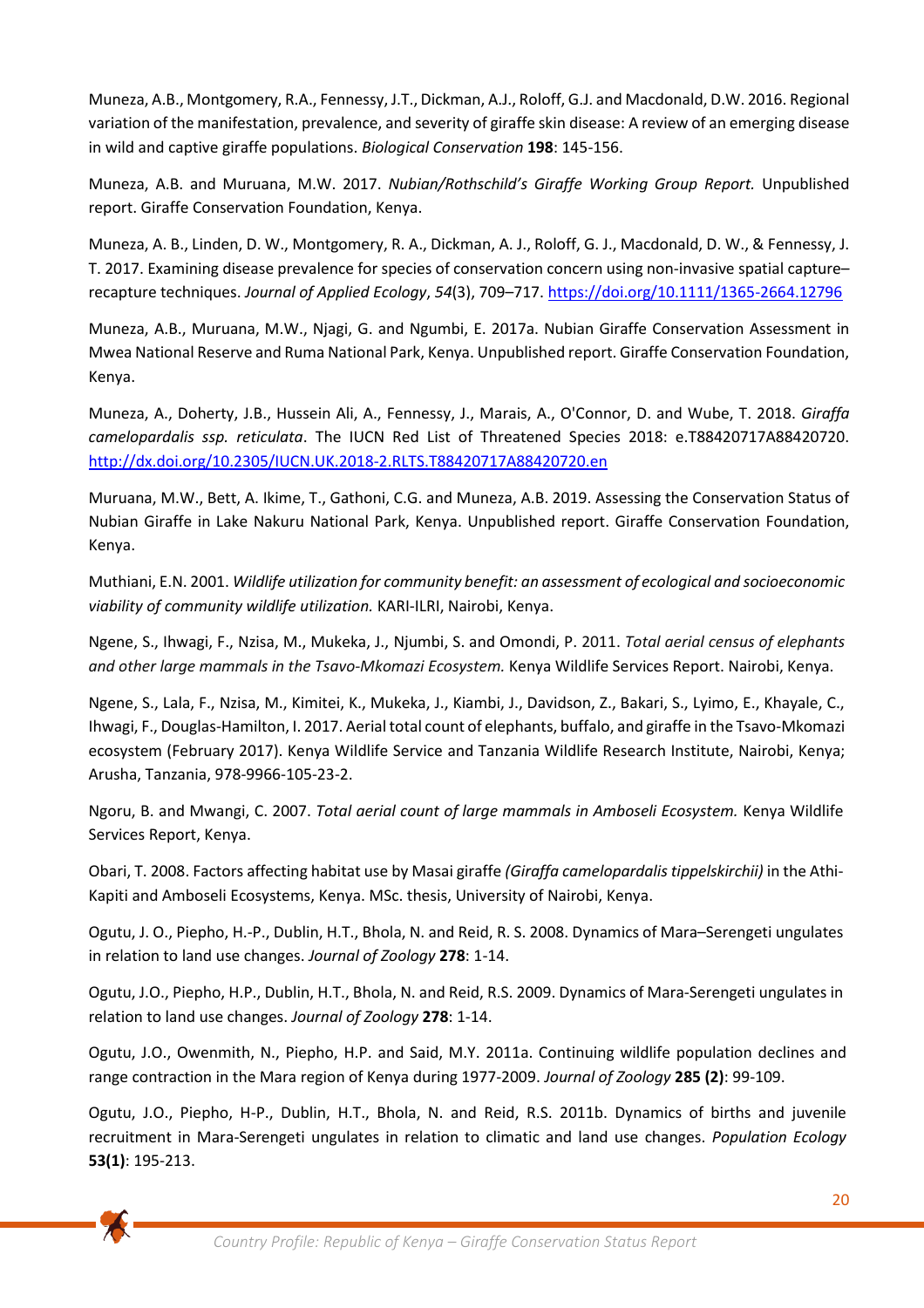Muneza, A.B., Montgomery, R.A., Fennessy, J.T., Dickman, A.J., Roloff, G.J. and Macdonald, D.W. 2016. Regional variation of the manifestation, prevalence, and severity of giraffe skin disease: A review of an emerging disease in wild and captive giraffe populations. *Biological Conservation* **198**: 145-156.

Muneza, A.B. and Muruana, M.W. 2017. *Nubian/Rothschild's Giraffe Working Group Report.* Unpublished report. Giraffe Conservation Foundation, Kenya.

Muneza, A. B., Linden, D. W., Montgomery, R. A., Dickman, A. J., Roloff, G. J., Macdonald, D. W., & Fennessy, J. T. 2017. Examining disease prevalence for species of conservation concern using non-invasive spatial capture– recapture techniques. *Journal of Applied Ecology*, *54*(3), 709–717[. https://doi.org/10.1111/1365-2664.12796](https://doi.org/10.1111/1365-2664.12796)

Muneza, A.B., Muruana, M.W., Njagi, G. and Ngumbi, E. 2017a. Nubian Giraffe Conservation Assessment in Mwea National Reserve and Ruma National Park, Kenya. Unpublished report. Giraffe Conservation Foundation, Kenya.

Muneza, A., Doherty, J.B., Hussein Ali, A., Fennessy, J., Marais, A., O'Connor, D. and Wube, T. 2018. *Giraffa camelopardalis ssp. reticulata*. The IUCN Red List of Threatened Species 2018: e.T88420717A88420720. <http://dx.doi.org/10.2305/IUCN.UK.2018-2.RLTS.T88420717A88420720.en>

Muruana, M.W., Bett, A. Ikime, T., Gathoni, C.G. and Muneza, A.B. 2019. Assessing the Conservation Status of Nubian Giraffe in Lake Nakuru National Park, Kenya. Unpublished report. Giraffe Conservation Foundation, Kenya.

Muthiani, E.N. 2001. *Wildlife utilization for community benefit: an assessment of ecological and socioeconomic viability of community wildlife utilization.* KARI-ILRI, Nairobi, Kenya.

Ngene, S., Ihwagi, F., Nzisa, M., Mukeka, J., Njumbi, S. and Omondi, P. 2011. *Total aerial census of elephants and other large mammals in the Tsavo‐Mkomazi Ecosystem.* Kenya Wildlife Services Report. Nairobi, Kenya.

Ngene, S., Lala, F., Nzisa, M., Kimitei, K., Mukeka, J., Kiambi, J., Davidson, Z., Bakari, S., Lyimo, E., Khayale, C., Ihwagi, F., Douglas-Hamilton, I. 2017. Aerial total count of elephants, buffalo, and giraffe in the Tsavo-Mkomazi ecosystem (February 2017). Kenya Wildlife Service and Tanzania Wildlife Research Institute, Nairobi, Kenya; Arusha, Tanzania, 978-9966-105-23-2.

Ngoru, B. and Mwangi, C. 2007. *Total aerial count of large mammals in Amboseli Ecosystem.* Kenya Wildlife Services Report, Kenya.

Obari, T. 2008. Factors affecting habitat use by Masai giraffe *(Giraffa camelopardalis tippelskirchii)* in the Athi-Kapiti and Amboseli Ecosystems, Kenya. MSc. thesis, University of Nairobi, Kenya.

Ogutu, J. O., Piepho, H.‐P., Dublin, H.T., Bhola, N. and Reid, R. S. 2008. Dynamics of Mara–Serengeti ungulates in relation to land use changes. *Journal of Zoology* **278**: 1-14.

Ogutu, J.O., Piepho, H.P., Dublin, H.T., Bhola, N. and Reid, R.S. 2009. Dynamics of Mara‐Serengeti ungulates in relation to land use changes. *Journal of Zoology* **278**: 1-14.

Ogutu, J.O., Owenmith, N., Piepho, H.P. and Said, M.Y. 2011a. Continuing wildlife population declines and range contraction in the Mara region of Kenya during 1977‐2009. *Journal of Zoology* **285 (2)**: 99‐109.

Ogutu, J.O., Piepho, H-P., Dublin, H.T., Bhola, N. and Reid, R.S. 2011b. Dynamics of births and juvenile recruitment in Mara‐Serengeti ungulates in relation to climatic and land use changes. *Population Ecology* **53(1)**: 195‐213.

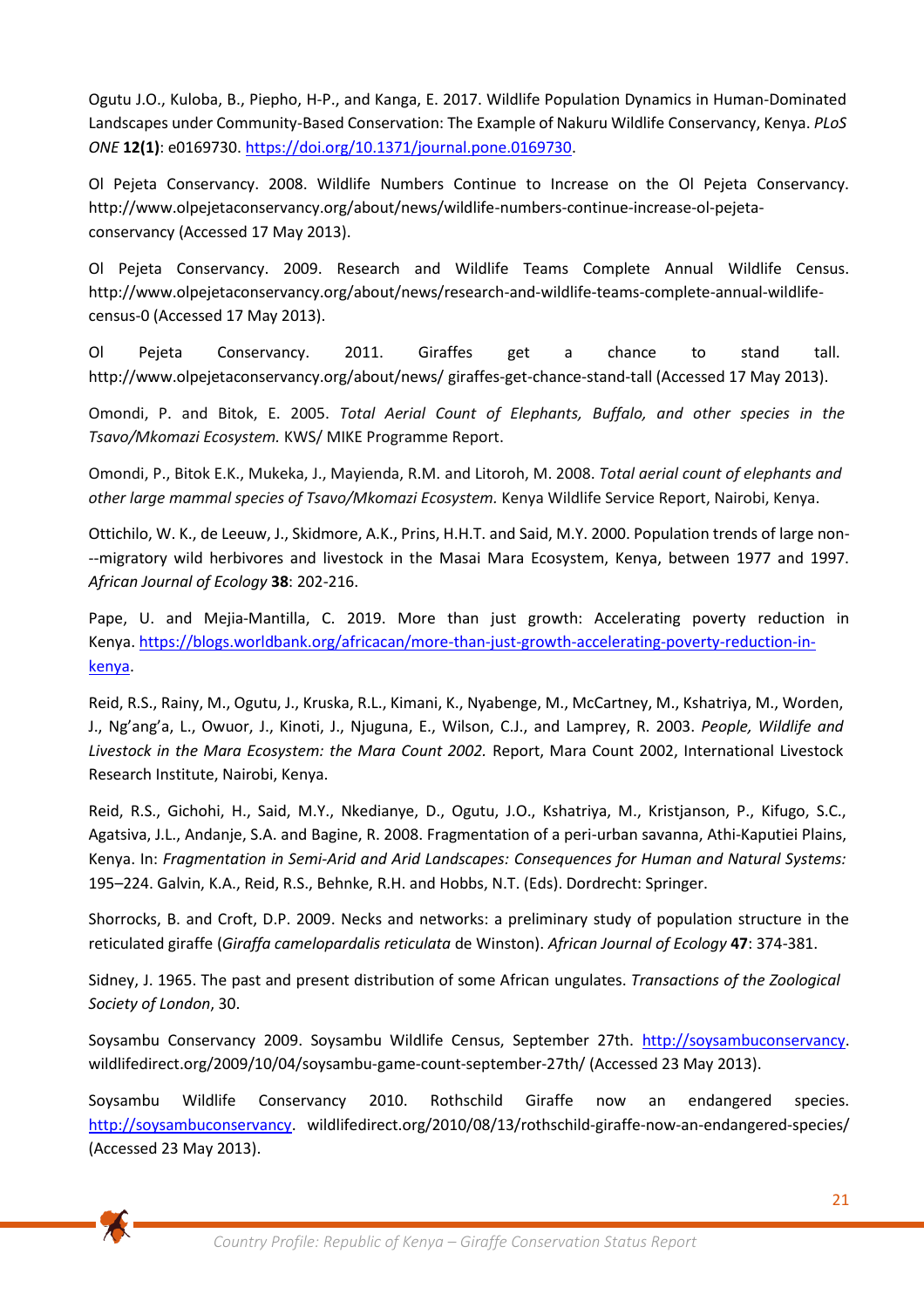Ogutu J.O., Kuloba, B., Piepho, H-P., and Kanga, E. 2017. Wildlife Population Dynamics in Human-Dominated Landscapes under Community-Based Conservation: The Example of Nakuru Wildlife Conservancy, Kenya. *PLoS ONE* **12(1)**: e0169730. [https://doi.org/10.1371/journal.pone.0169730.](https://doi.org/10.1371/journal.pone.0169730)

Ol Pejeta Conservancy. 2008. Wildlife Numbers Continue to Increase on the Ol Pejeta Conservancy. http://www.olpejetaconservancy.org/about/news/wildlife-numbers-continue‐increase‐ol‐pejeta‐ conservancy (Accessed 17 May 2013).

Ol Pejeta Conservancy. 2009. Research and Wildlife Teams Complete Annual Wildlife Census. http://www.olpejetaconservancy.org/about/news/research-and‐wildlife‐teams‐complete-annual-wildlifecensus‐0 (Accessed 17 May 2013).

Ol Pejeta Conservancy. 2011. Giraffes get a chance to stand tall. http://www.olpejetaconservancy.org/about/news/ giraffes‐get‐chance‐stand‐tall (Accessed 17 May 2013).

Omondi, P. and Bitok, E. 2005. *Total Aerial Count of Elephants, Buffalo, and other species in the Tsavo/Mkomazi Ecosystem.* KWS/ MIKE Programme Report.

Omondi, P., Bitok E.K., Mukeka, J., Mayienda, R.M. and Litoroh, M. 2008. *Total aerial count of elephants and other large mammal species of Tsavo/Mkomazi Ecosystem.* Kenya Wildlife Service Report, Nairobi, Kenya.

Ottichilo, W. K., de Leeuw, J., Skidmore, A.K., Prins, H.H.T. and Said, M.Y. 2000. Population trends of large non- ‐‐migratory wild herbivores and livestock in the Masai Mara Ecosystem, Kenya, between 1977 and 1997. *African Journal of Ecology* **38**: 202-216.

Pape, U. and Mejia-Mantilla, C. 2019. More than just growth: Accelerating poverty reduction in Kenya. [https://blogs.worldbank.org/africacan/more-than-just-growth-accelerating-poverty-reduction-in](https://blogs.worldbank.org/africacan/more-than-just-growth-accelerating-poverty-reduction-in-kenya)[kenya.](https://blogs.worldbank.org/africacan/more-than-just-growth-accelerating-poverty-reduction-in-kenya)

Reid, R.S., Rainy, M., Ogutu, J., Kruska, R.L., Kimani, K., Nyabenge, M., McCartney, M., Kshatriya, M., Worden, J., Ng'ang'a, L., Owuor, J., Kinoti, J., Njuguna, E., Wilson, C.J., and Lamprey, R. 2003. *People, Wildlife and Livestock in the Mara Ecosystem: the Mara Count 2002.* Report, Mara Count 2002, International Livestock Research Institute, Nairobi, Kenya.

Reid, R.S., Gichohi, H., Said, M.Y., Nkedianye, D., Ogutu, J.O., Kshatriya, M., Kristjanson, P., Kifugo, S.C., Agatsiva, J.L., Andanje, S.A. and Bagine, R. 2008. Fragmentation of a peri-urban savanna, Athi‐Kaputiei Plains, Kenya. In: *Fragmentation in Semi-Arid and Arid Landscapes: Consequences for Human and Natural Systems:* 195–224. Galvin, K.A., Reid, R.S., Behnke, R.H. and Hobbs, N.T. (Eds). Dordrecht: Springer.

Shorrocks, B. and Croft, D.P. 2009. Necks and networks: a preliminary study of population structure in the reticulated giraffe (*Giraffa camelopardalis reticulata* de Winston). *African Journal of Ecology* **47**: 374-381.

Sidney, J. 1965. The past and present distribution of some African ungulates. *Transactions of the Zoological Society of London*, 30.

Soysambu Conservancy 2009. Soysambu Wildlife Census, September 27th. [http://soysambuconservancy.](http://soysambuconservancy/) wildlifedirect.org/2009/10/04/soysambu‐game‐count‐september‐27th/ (Accessed 23 May 2013).

Soysambu Wildlife Conservancy 2010. Rothschild Giraffe now an endangered species. [http://soysambuconservancy.](http://soysambuconservancy/) wildlifedirect.org/2010/08/13/rothschild-giraffe-now-an-endangered-species/ (Accessed 23 May 2013).

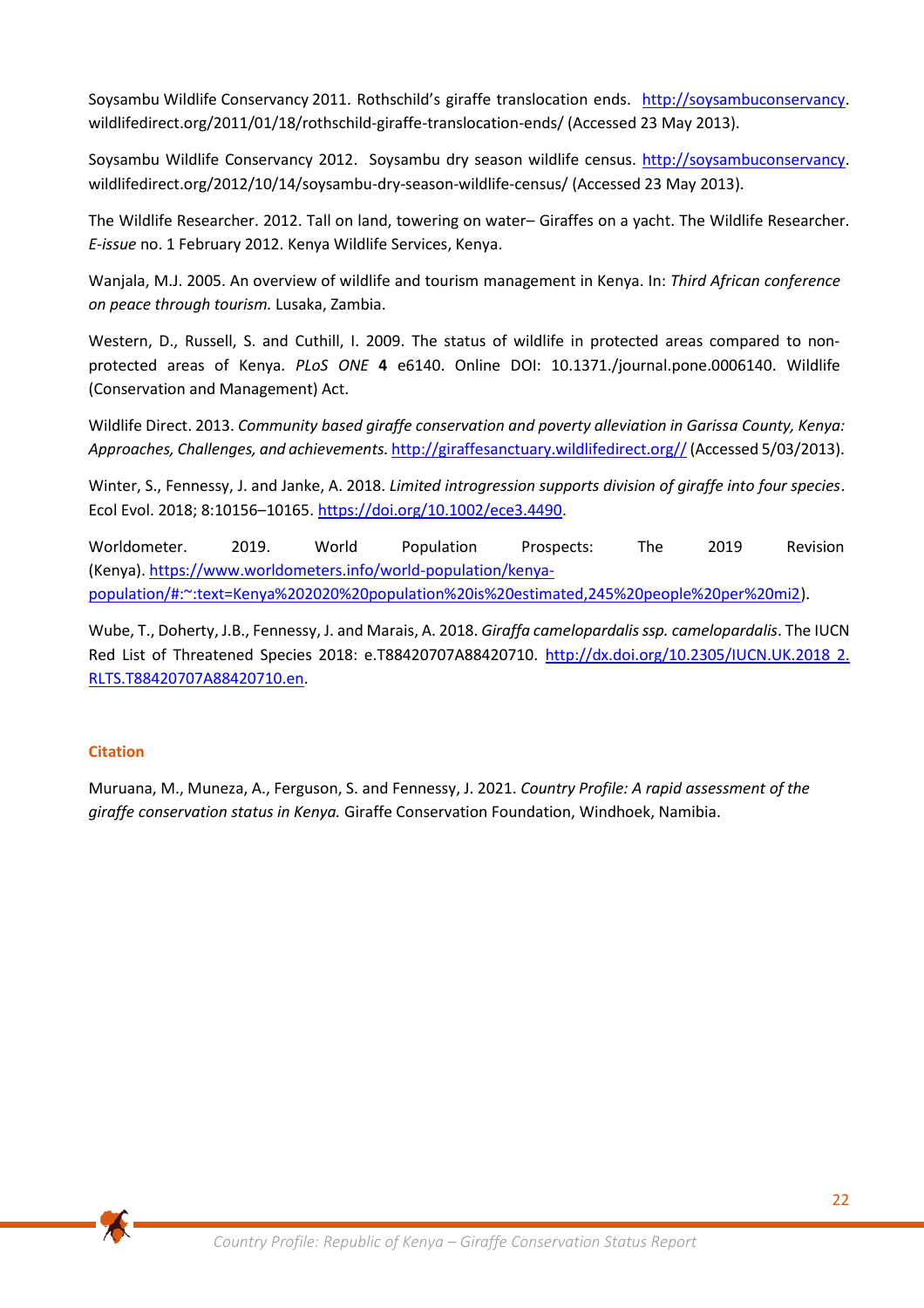Soysambu Wildlife Conservancy 2011. Rothschild's giraffe translocation ends. [http://soysambuconservancy.](http://soysambuconservancy/) wildlifedirect.org/2011/01/18/rothschild‐giraffe-translocation-ends/ (Accessed 23 May 2013).

Soysambu Wildlife Conservancy 2012. Soysambu dry season wildlife census. [http://soysambuconservancy.](http://soysambuconservancy/) wildlifedirect.org/2012/10/14/soysambu-dry-season-wildlife-census/ (Accessed 23 May 2013).

The Wildlife Researcher. 2012. Tall on land, towering on water– Giraffes on a yacht. The Wildlife Researcher. *E‐issue* no. 1 February 2012. Kenya Wildlife Services, Kenya.

Wanjala, M.J. 2005. An overview of wildlife and tourism management in Kenya. In: *Third African conference on peace through tourism.* Lusaka, Zambia.

Western, D., Russell, S. and Cuthill, I. 2009. The status of wildlife in protected areas compared to nonprotected areas of Kenya. *PLoS ONE* **4** e6140. Online DOI: 10.1371./journal.pone.0006140. Wildlife (Conservation and Management) Act.

Wildlife Direct. 2013. *Community based giraffe conservation and poverty alleviation in Garissa County, Kenya: Approaches, Challenges, and achievements.* [http://giraffesanctuary.wildlifedirect.org//](http://giraffesanctuary.wildlifedirect.org/)(Accessed 5/03/2013).

Winter, S., Fennessy, J. and Janke, A. 2018. *Limited introgression supports division of giraffe into four species*. Ecol Evol. 2018; 8:10156–10165[. https://doi.org/10.1002/ece3.4490.](https://doi.org/10.1002/ece3.4490)

Worldometer. 2019. World Population Prospects: The 2019 Revision (Kenya). [https://www.worldometers.info/world-population/kenya](https://www.worldometers.info/world-population/kenya-population/#:~:text=Kenya%202020%20population%20is%20estimated,245%20people%20per%20mi2)[population/#:~:text=Kenya%202020%20population%20is%20estimated,245%20people%20per%20mi2\)](https://www.worldometers.info/world-population/kenya-population/#:~:text=Kenya%202020%20population%20is%20estimated,245%20people%20per%20mi2).

Wube, T., Doherty, J.B., Fennessy, J. and Marais, A. 2018. *Giraffa camelopardalis ssp. camelopardalis*. The IUCN Red List of Threatened Species 2018: e.T88420707A88420710. [http://dx.doi.org/10.2305/IUCN.UK.2018](http://dx.doi.org/10.2305/IUCN.UK.2018%202.%20RLTS.T88420707A88420710.en) 2. [RLTS.T88420707A88420710.en.](http://dx.doi.org/10.2305/IUCN.UK.2018%202.%20RLTS.T88420707A88420710.en)

# **Citation**

Muruana, M., Muneza, A., Ferguson, S. and Fennessy, J. 2021. *Country Profile: A rapid assessment of the giraffe conservation status in Kenya.* Giraffe Conservation Foundation, Windhoek, Namibia.